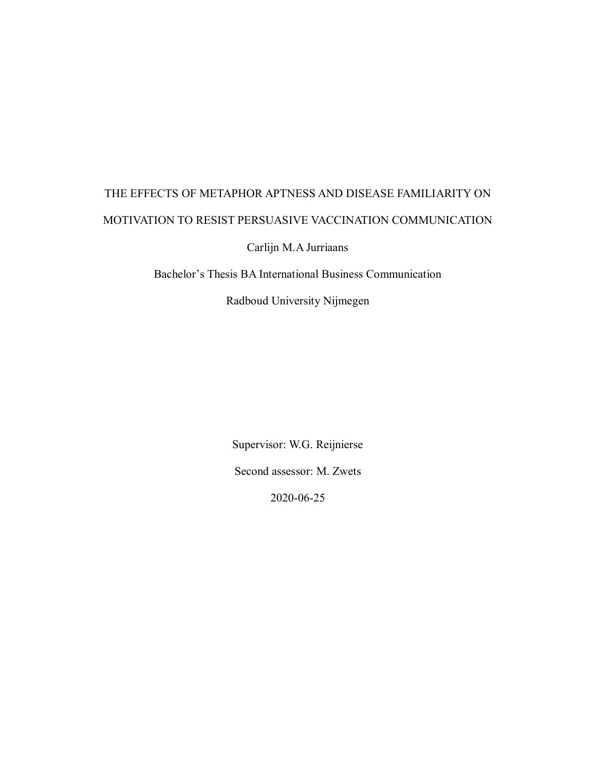# THE EFFECTS OF METAPHOR APTNESS AND DISEASE FAMILIARITY ON MOTIVATION TO RESIST PERSUASIVE VACCINATION COMMUNICATION

Carlijn M.A Jurriaans

Bachelor's Thesis BA International Business Communication

Radboud University Nijmegen

Supervisor: W.G. Reijnierse Second assessor: M. Zwets

2020-06-25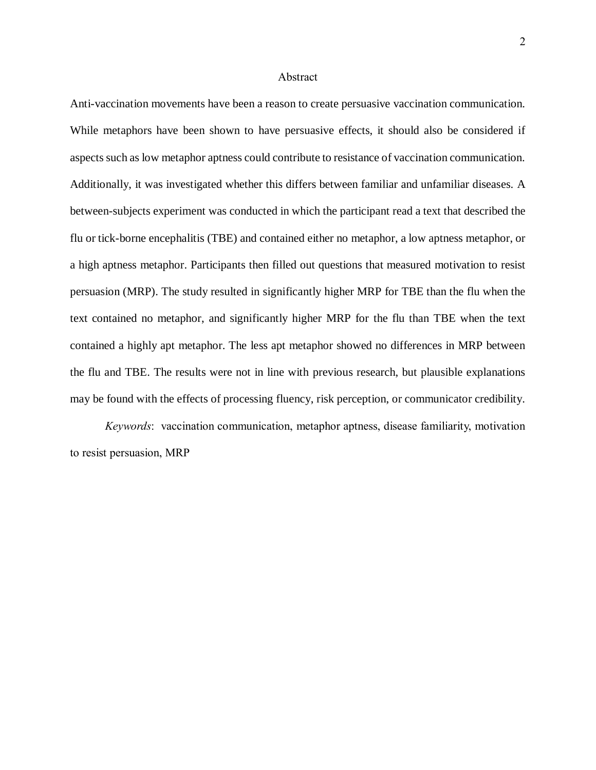#### Abstract

Anti-vaccination movements have been a reason to create persuasive vaccination communication. While metaphors have been shown to have persuasive effects, it should also be considered if aspects such as low metaphor aptness could contribute to resistance of vaccination communication. Additionally, it was investigated whether this differs between familiar and unfamiliar diseases. A between-subjects experiment was conducted in which the participant read a text that described the flu or tick-borne encephalitis (TBE) and contained either no metaphor, a low aptness metaphor, or a high aptness metaphor. Participants then filled out questions that measured motivation to resist persuasion (MRP). The study resulted in significantly higher MRP for TBE than the flu when the text contained no metaphor, and significantly higher MRP for the flu than TBE when the text contained a highly apt metaphor. The less apt metaphor showed no differences in MRP between the flu and TBE. The results were not in line with previous research, but plausible explanations may be found with the effects of processing fluency, risk perception, or communicator credibility.

*Keywords*: vaccination communication, metaphor aptness, disease familiarity, motivation to resist persuasion, MRP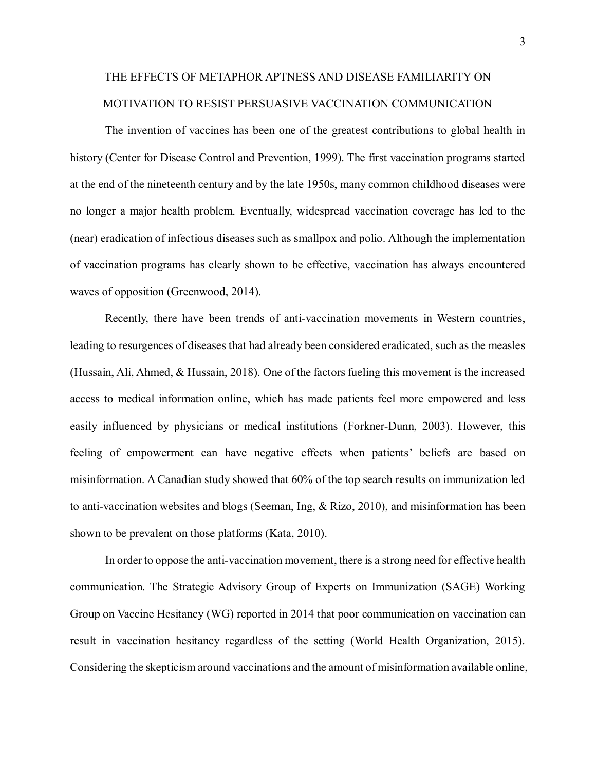# THE EFFECTS OF METAPHOR APTNESS AND DISEASE FAMILIARITY ON MOTIVATION TO RESIST PERSUASIVE VACCINATION COMMUNICATION

The invention of vaccines has been one of the greatest contributions to global health in history (Center for Disease Control and Prevention, 1999). The first vaccination programs started at the end of the nineteenth century and by the late 1950s, many common childhood diseases were no longer a major health problem. Eventually, widespread vaccination coverage has led to the (near) eradication of infectious diseases such as smallpox and polio. Although the implementation of vaccination programs has clearly shown to be effective, vaccination has always encountered waves of opposition (Greenwood, 2014).

Recently, there have been trends of anti-vaccination movements in Western countries, leading to resurgences of diseases that had already been considered eradicated, such as the measles (Hussain, Ali, Ahmed, & Hussain, 2018). One of the factors fueling this movement is the increased access to medical information online, which has made patients feel more empowered and less easily influenced by physicians or medical institutions (Forkner-Dunn, 2003). However, this feeling of empowerment can have negative effects when patients' beliefs are based on misinformation. A Canadian study showed that 60% of the top search results on immunization led to anti-vaccination websites and blogs (Seeman, Ing, & Rizo, 2010), and misinformation has been shown to be prevalent on those platforms (Kata, 2010).

In order to oppose the anti-vaccination movement, there is a strong need for effective health communication. The Strategic Advisory Group of Experts on Immunization (SAGE) Working Group on Vaccine Hesitancy (WG) reported in 2014 that poor communication on vaccination can result in vaccination hesitancy regardless of the setting (World Health Organization, 2015). Considering the skepticism around vaccinations and the amount of misinformation available online,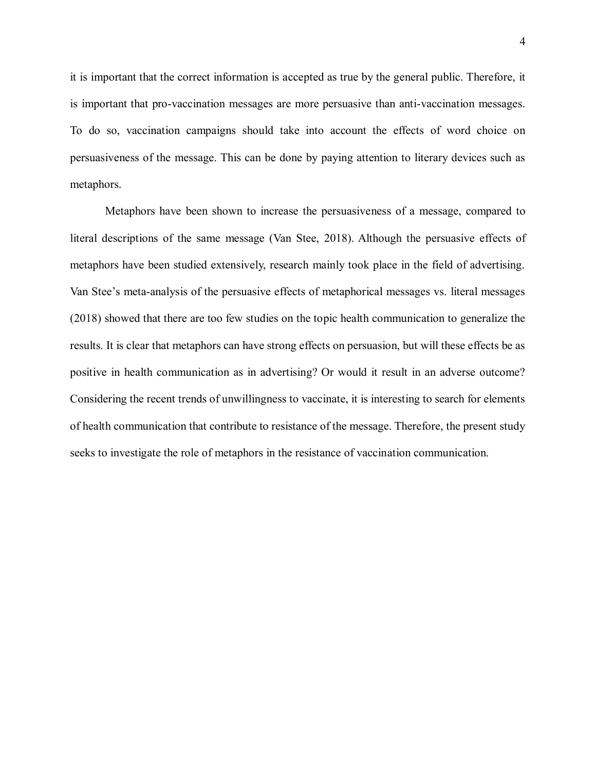it is important that the correct information is accepted as true by the general public. Therefore, it is important that pro-vaccination messages are more persuasive than anti-vaccination messages. To do so, vaccination campaigns should take into account the effects of word choice on persuasiveness of the message. This can be done by paying attention to literary devices such as metaphors.

Metaphors have been shown to increase the persuasiveness of a message, compared to literal descriptions of the same message (Van Stee, 2018). Although the persuasive effects of metaphors have been studied extensively, research mainly took place in the field of advertising. Van Stee's meta-analysis of the persuasive effects of metaphorical messages vs. literal messages (2018) showed that there are too few studies on the topic health communication to generalize the results. It is clear that metaphors can have strong effects on persuasion, but will these effects be as positive in health communication as in advertising? Or would it result in an adverse outcome? Considering the recent trends of unwillingness to vaccinate, it is interesting to search for elements of health communication that contribute to resistance of the message. Therefore, the present study seeks to investigate the role of metaphors in the resistance of vaccination communication.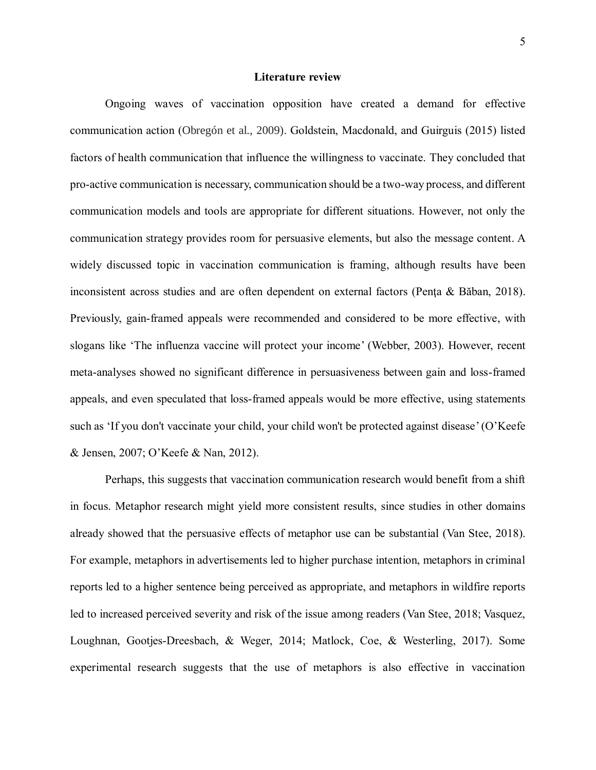#### **Literature review**

Ongoing waves of vaccination opposition have created a demand for effective communication action (Obregón et al., 2009). Goldstein, Macdonald, and Guirguis (2015) listed factors of health communication that influence the willingness to vaccinate. They concluded that pro-active communication is necessary, communication should be a two-way process, and different communication models and tools are appropriate for different situations. However, not only the communication strategy provides room for persuasive elements, but also the message content. A widely discussed topic in vaccination communication is framing, although results have been inconsistent across studies and are often dependent on external factors (Penţa & Băban, 2018). Previously, gain-framed appeals were recommended and considered to be more effective, with slogans like 'The influenza vaccine will protect your income' (Webber, 2003). However, recent meta-analyses showed no significant difference in persuasiveness between gain and loss-framed appeals, and even speculated that loss-framed appeals would be more effective, using statements such as 'If you don't vaccinate your child, your child won't be protected against disease'(O'Keefe & Jensen, 2007; O'Keefe & Nan, 2012).

Perhaps, this suggests that vaccination communication research would benefit from a shift in focus. Metaphor research might yield more consistent results, since studies in other domains already showed that the persuasive effects of metaphor use can be substantial (Van Stee, 2018). For example, metaphors in advertisements led to higher purchase intention, metaphors in criminal reports led to a higher sentence being perceived as appropriate, and metaphors in wildfire reports led to increased perceived severity and risk of the issue among readers (Van Stee, 2018; Vasquez, Loughnan, Gootjes‐Dreesbach, & Weger, 2014; Matlock, Coe, & Westerling, 2017). Some experimental research suggests that the use of metaphors is also effective in vaccination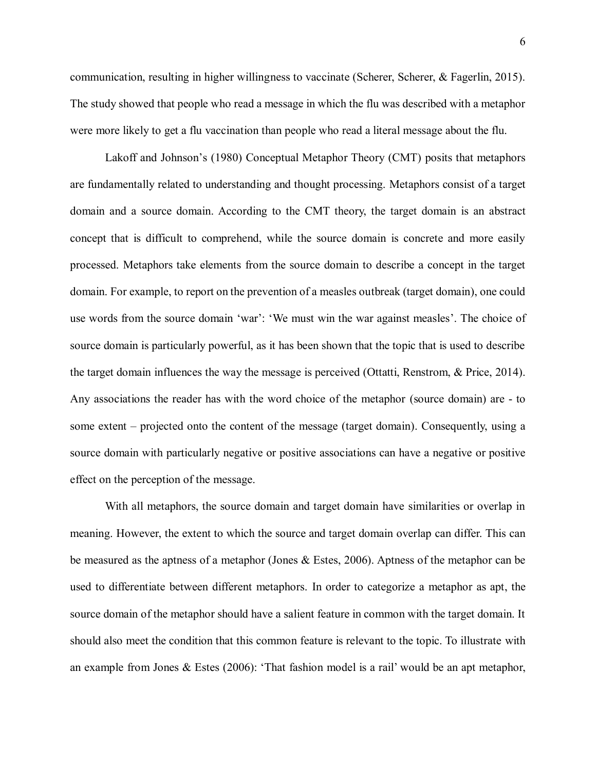communication, resulting in higher willingness to vaccinate (Scherer, Scherer, & Fagerlin, 2015). The study showed that people who read a message in which the flu was described with a metaphor were more likely to get a flu vaccination than people who read a literal message about the flu.

Lakoff and Johnson's (1980) Conceptual Metaphor Theory (CMT) posits that metaphors are fundamentally related to understanding and thought processing. Metaphors consist of a target domain and a source domain. According to the CMT theory, the target domain is an abstract concept that is difficult to comprehend, while the source domain is concrete and more easily processed. Metaphors take elements from the source domain to describe a concept in the target domain. For example, to report on the prevention of a measles outbreak (target domain), one could use words from the source domain 'war': 'We must win the war against measles'. The choice of source domain is particularly powerful, as it has been shown that the topic that is used to describe the target domain influences the way the message is perceived (Ottatti, Renstrom, & Price, 2014). Any associations the reader has with the word choice of the metaphor (source domain) are - to some extent – projected onto the content of the message (target domain). Consequently, using a source domain with particularly negative or positive associations can have a negative or positive effect on the perception of the message.

With all metaphors, the source domain and target domain have similarities or overlap in meaning. However, the extent to which the source and target domain overlap can differ. This can be measured as the aptness of a metaphor (Jones & Estes, 2006). Aptness of the metaphor can be used to differentiate between different metaphors. In order to categorize a metaphor as apt, the source domain of the metaphor should have a salient feature in common with the target domain. It should also meet the condition that this common feature is relevant to the topic. To illustrate with an example from Jones & Estes (2006): 'That fashion model is a rail' would be an apt metaphor,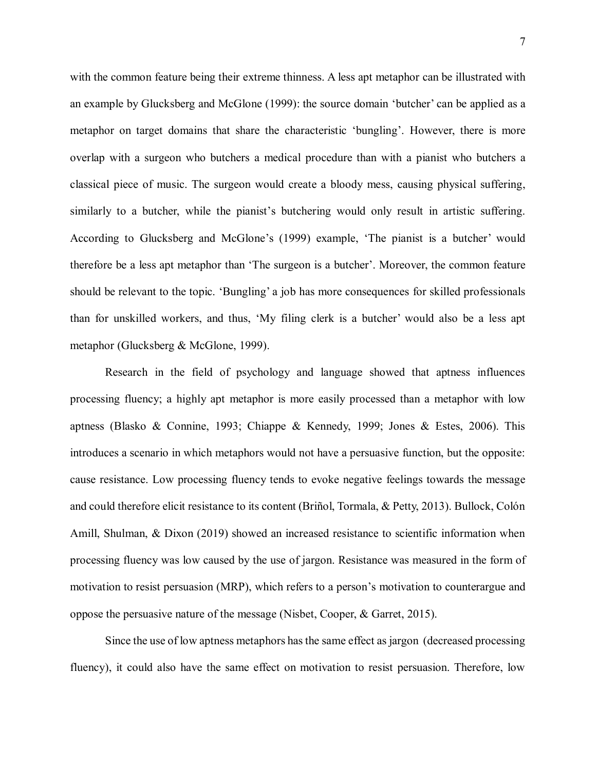with the common feature being their extreme thinness. A less apt metaphor can be illustrated with an example by Glucksberg and McGlone (1999): the source domain 'butcher' can be applied as a metaphor on target domains that share the characteristic 'bungling'. However, there is more overlap with a surgeon who butchers a medical procedure than with a pianist who butchers a classical piece of music. The surgeon would create a bloody mess, causing physical suffering, similarly to a butcher, while the pianist's butchering would only result in artistic suffering. According to Glucksberg and McGlone's (1999) example, 'The pianist is a butcher' would therefore be a less apt metaphor than 'The surgeon is a butcher'. Moreover, the common feature should be relevant to the topic. 'Bungling' a job has more consequences for skilled professionals than for unskilled workers, and thus, 'My filing clerk is a butcher' would also be a less apt metaphor (Glucksberg & McGlone, 1999).

Research in the field of psychology and language showed that aptness influences processing fluency; a highly apt metaphor is more easily processed than a metaphor with low aptness (Blasko & Connine, 1993; Chiappe & Kennedy, 1999; Jones & Estes, 2006). This introduces a scenario in which metaphors would not have a persuasive function, but the opposite: cause resistance. Low processing fluency tends to evoke negative feelings towards the message and could therefore elicit resistance to its content (Briñol, Tormala, & Petty, 2013). Bullock, Colón Amill, Shulman, & Dixon (2019) showed an increased resistance to scientific information when processing fluency was low caused by the use of jargon. Resistance was measured in the form of motivation to resist persuasion (MRP), which refers to a person's motivation to counterargue and oppose the persuasive nature of the message (Nisbet, Cooper, & Garret, 2015).

Since the use of low aptness metaphors has the same effect as jargon (decreased processing fluency), it could also have the same effect on motivation to resist persuasion. Therefore, low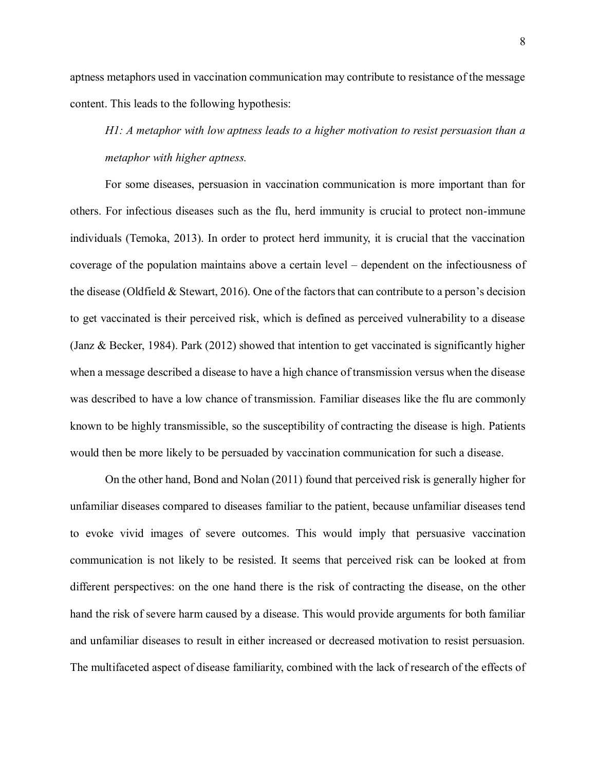aptness metaphors used in vaccination communication may contribute to resistance of the message content. This leads to the following hypothesis:

*H1: A metaphor with low aptness leads to a higher motivation to resist persuasion than a metaphor with higher aptness.*

For some diseases, persuasion in vaccination communication is more important than for others. For infectious diseases such as the flu, herd immunity is crucial to protect non-immune individuals (Temoka, 2013). In order to protect herd immunity, it is crucial that the vaccination coverage of the population maintains above a certain level – dependent on the infectiousness of the disease (Oldfield & Stewart, 2016). One of the factors that can contribute to a person's decision to get vaccinated is their perceived risk, which is defined as perceived vulnerability to a disease (Janz & Becker, 1984). Park (2012) showed that intention to get vaccinated is significantly higher when a message described a disease to have a high chance of transmission versus when the disease was described to have a low chance of transmission. Familiar diseases like the flu are commonly known to be highly transmissible, so the susceptibility of contracting the disease is high. Patients would then be more likely to be persuaded by vaccination communication for such a disease.

On the other hand, Bond and Nolan (2011) found that perceived risk is generally higher for unfamiliar diseases compared to diseases familiar to the patient, because unfamiliar diseases tend to evoke vivid images of severe outcomes. This would imply that persuasive vaccination communication is not likely to be resisted. It seems that perceived risk can be looked at from different perspectives: on the one hand there is the risk of contracting the disease, on the other hand the risk of severe harm caused by a disease. This would provide arguments for both familiar and unfamiliar diseases to result in either increased or decreased motivation to resist persuasion. The multifaceted aspect of disease familiarity, combined with the lack of research of the effects of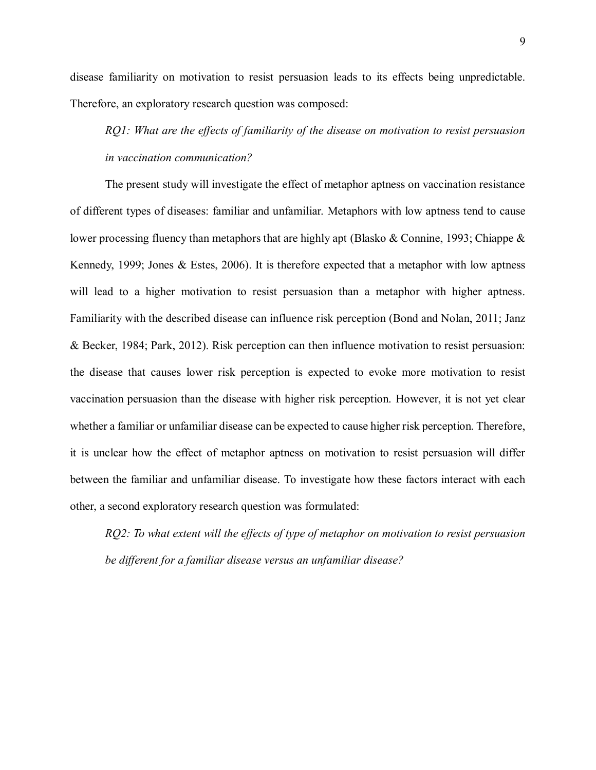disease familiarity on motivation to resist persuasion leads to its effects being unpredictable. Therefore, an exploratory research question was composed:

*RQ1: What are the effects of familiarity of the disease on motivation to resist persuasion in vaccination communication?*

The present study will investigate the effect of metaphor aptness on vaccination resistance of different types of diseases: familiar and unfamiliar. Metaphors with low aptness tend to cause lower processing fluency than metaphors that are highly apt (Blasko & Connine, 1993; Chiappe & Kennedy, 1999; Jones & Estes, 2006). It is therefore expected that a metaphor with low aptness will lead to a higher motivation to resist persuasion than a metaphor with higher aptness. Familiarity with the described disease can influence risk perception (Bond and Nolan, 2011; Janz & Becker, 1984; Park, 2012). Risk perception can then influence motivation to resist persuasion: the disease that causes lower risk perception is expected to evoke more motivation to resist vaccination persuasion than the disease with higher risk perception. However, it is not yet clear whether a familiar or unfamiliar disease can be expected to cause higher risk perception. Therefore, it is unclear how the effect of metaphor aptness on motivation to resist persuasion will differ between the familiar and unfamiliar disease. To investigate how these factors interact with each other, a second exploratory research question was formulated:

*RQ2: To what extent will the effects of type of metaphor on motivation to resist persuasion be different for a familiar disease versus an unfamiliar disease?*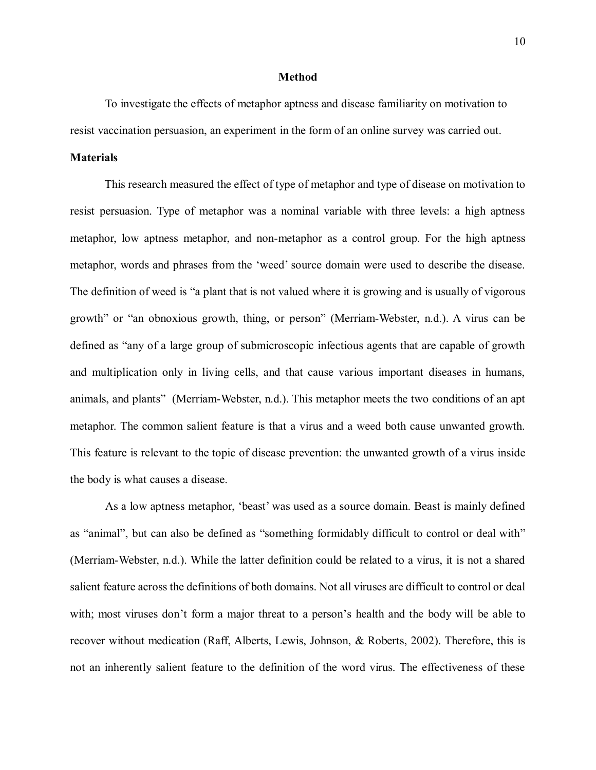#### **Method**

To investigate the effects of metaphor aptness and disease familiarity on motivation to resist vaccination persuasion, an experiment in the form of an online survey was carried out.

#### **Materials**

This research measured the effect of type of metaphor and type of disease on motivation to resist persuasion. Type of metaphor was a nominal variable with three levels: a high aptness metaphor, low aptness metaphor, and non-metaphor as a control group. For the high aptness metaphor, words and phrases from the 'weed' source domain were used to describe the disease. The definition of weed is "a plant that is not valued where it is growing and is usually of vigorous growth" or "an obnoxious growth, thing, or person" (Merriam-Webster, n.d.). A virus can be defined as "any of a large group of submicroscopic infectious agents that are capable of growth and multiplication only in living cells, and that cause various important diseases in humans, animals, and plants" (Merriam-Webster, n.d.). This metaphor meets the two conditions of an apt metaphor. The common salient feature is that a virus and a weed both cause unwanted growth. This feature is relevant to the topic of disease prevention: the unwanted growth of a virus inside the body is what causes a disease.

As a low aptness metaphor, 'beast' was used as a source domain. Beast is mainly defined as "animal", but can also be defined as "something formidably difficult to control or deal with" (Merriam-Webster, n.d.). While the latter definition could be related to a virus, it is not a shared salient feature across the definitions of both domains. Not all viruses are difficult to control or deal with; most viruses don't form a major threat to a person's health and the body will be able to recover without medication (Raff, Alberts, Lewis, Johnson, & Roberts, 2002). Therefore, this is not an inherently salient feature to the definition of the word virus. The effectiveness of these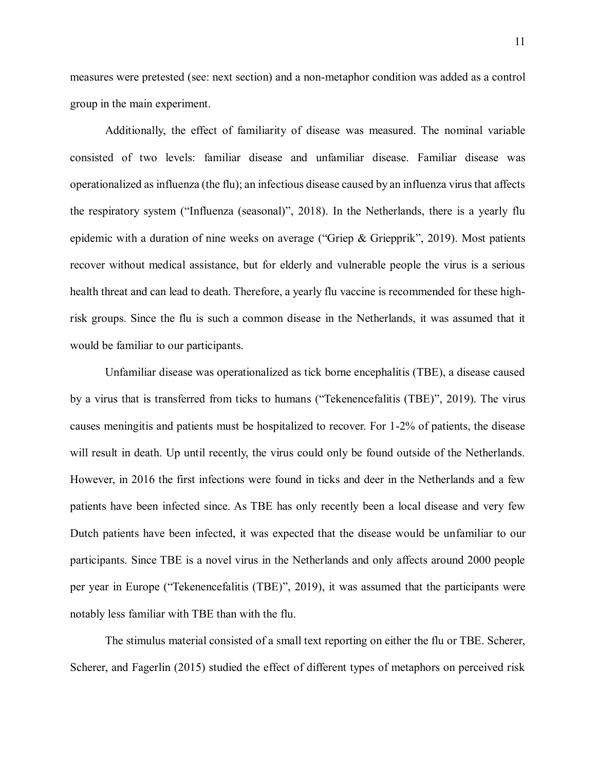measures were pretested (see: next section) and a non-metaphor condition was added as a control group in the main experiment.

Additionally, the effect of familiarity of disease was measured. The nominal variable consisted of two levels: familiar disease and unfamiliar disease. Familiar disease was operationalized as influenza (the flu); an infectious disease caused by an influenza virus that affects the respiratory system ("Influenza (seasonal)", 2018). In the Netherlands, there is a yearly flu epidemic with a duration of nine weeks on average ("Griep & Griepprik", 2019). Most patients recover without medical assistance, but for elderly and vulnerable people the virus is a serious health threat and can lead to death. Therefore, a yearly flu vaccine is recommended for these highrisk groups. Since the flu is such a common disease in the Netherlands, it was assumed that it would be familiar to our participants.

Unfamiliar disease was operationalized as tick borne encephalitis (TBE), a disease caused by a virus that is transferred from ticks to humans ("Tekenencefalitis (TBE)", 2019). The virus causes meningitis and patients must be hospitalized to recover. For 1-2% of patients, the disease will result in death. Up until recently, the virus could only be found outside of the Netherlands. However, in 2016 the first infections were found in ticks and deer in the Netherlands and a few patients have been infected since. As TBE has only recently been a local disease and very few Dutch patients have been infected, it was expected that the disease would be unfamiliar to our participants. Since TBE is a novel virus in the Netherlands and only affects around 2000 people per year in Europe ("Tekenencefalitis (TBE)", 2019), it was assumed that the participants were notably less familiar with TBE than with the flu.

The stimulus material consisted of a small text reporting on either the flu or TBE. Scherer, Scherer, and Fagerlin (2015) studied the effect of different types of metaphors on perceived risk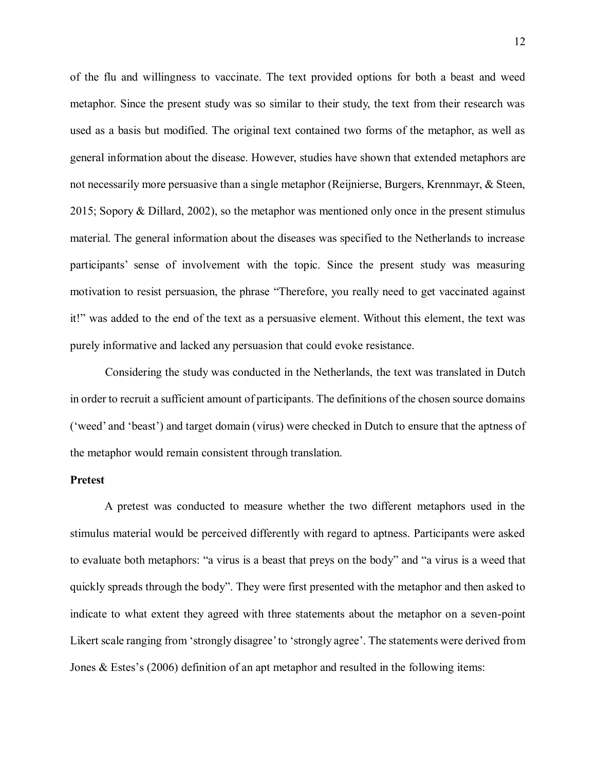of the flu and willingness to vaccinate. The text provided options for both a beast and weed metaphor. Since the present study was so similar to their study, the text from their research was used as a basis but modified. The original text contained two forms of the metaphor, as well as general information about the disease. However, studies have shown that extended metaphors are not necessarily more persuasive than a single metaphor (Reijnierse, Burgers, Krennmayr, & Steen, 2015; Sopory & Dillard, 2002), so the metaphor was mentioned only once in the present stimulus material. The general information about the diseases was specified to the Netherlands to increase participants' sense of involvement with the topic. Since the present study was measuring motivation to resist persuasion, the phrase "Therefore, you really need to get vaccinated against it!" was added to the end of the text as a persuasive element. Without this element, the text was purely informative and lacked any persuasion that could evoke resistance.

Considering the study was conducted in the Netherlands, the text was translated in Dutch in order to recruit a sufficient amount of participants. The definitions of the chosen source domains ('weed' and 'beast') and target domain (virus) were checked in Dutch to ensure that the aptness of the metaphor would remain consistent through translation.

#### **Pretest**

A pretest was conducted to measure whether the two different metaphors used in the stimulus material would be perceived differently with regard to aptness. Participants were asked to evaluate both metaphors: "a virus is a beast that preys on the body" and "a virus is a weed that quickly spreads through the body". They were first presented with the metaphor and then asked to indicate to what extent they agreed with three statements about the metaphor on a seven-point Likert scale ranging from 'strongly disagree' to 'strongly agree'. The statements were derived from Jones & Estes's (2006) definition of an apt metaphor and resulted in the following items: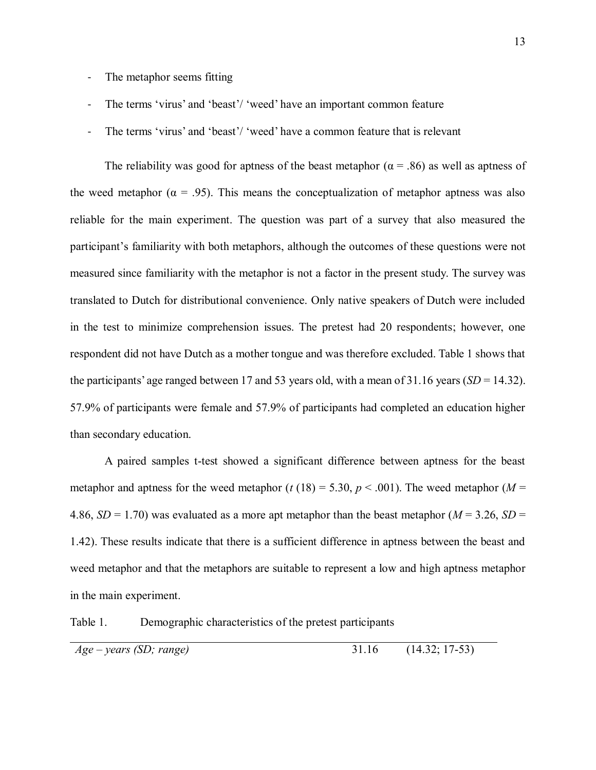- The metaphor seems fitting
- The terms 'virus' and 'beast'/ 'weed' have an important common feature
- The terms 'virus' and 'beast'/ 'weed' have a common feature that is relevant

The reliability was good for aptness of the beast metaphor ( $\alpha$  = .86) as well as aptness of the weed metaphor ( $\alpha = .95$ ). This means the conceptualization of metaphor aptness was also reliable for the main experiment. The question was part of a survey that also measured the participant's familiarity with both metaphors, although the outcomes of these questions were not measured since familiarity with the metaphor is not a factor in the present study. The survey was translated to Dutch for distributional convenience. Only native speakers of Dutch were included in the test to minimize comprehension issues. The pretest had 20 respondents; however, one respondent did not have Dutch as a mother tongue and was therefore excluded. Table 1 shows that the participants' age ranged between 17 and 53 years old, with a mean of 31.16 years (*SD* = 14.32). 57.9% of participants were female and 57.9% of participants had completed an education higher than secondary education.

A paired samples t-test showed a significant difference between aptness for the beast metaphor and aptness for the weed metaphor ( $t$  (18) = 5.30,  $p$  < .001). The weed metaphor ( $M =$ 4.86,  $SD = 1.70$ ) was evaluated as a more apt metaphor than the beast metaphor ( $M = 3.26$ ,  $SD =$ 1.42). These results indicate that there is a sufficient difference in aptness between the beast and weed metaphor and that the metaphors are suitable to represent a low and high aptness metaphor in the main experiment.

Table 1. Demographic characteristics of the pretest participants

| Age – years (SD; range) | $(14.32; 17-53)$ |  |
|-------------------------|------------------|--|
|                         |                  |  |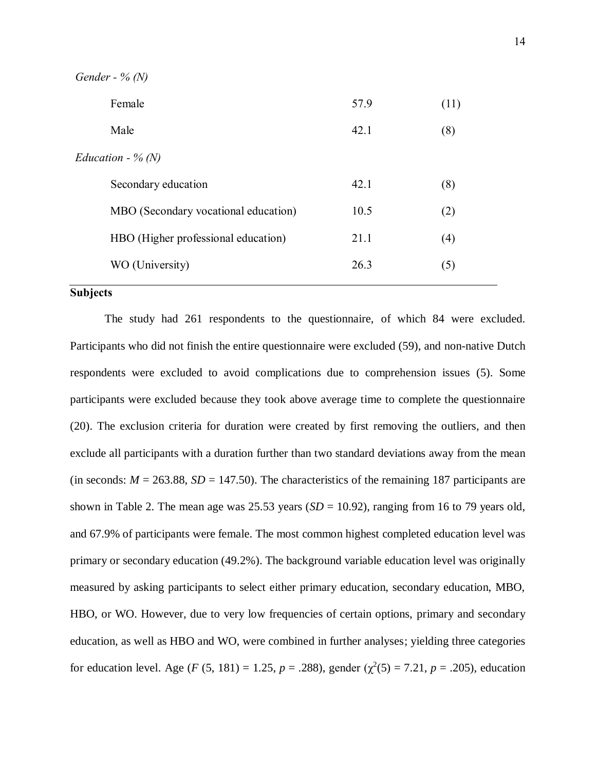| Gender - % $(N)$ |  |  |
|------------------|--|--|
|------------------|--|--|

| Female                               | 57.9 | (11) |
|--------------------------------------|------|------|
| Male                                 | 42.1 | (8)  |
| Education - % $(N)$                  |      |      |
| Secondary education                  | 42.1 | (8)  |
| MBO (Secondary vocational education) | 10.5 | (2)  |
| HBO (Higher professional education)  | 21.1 | (4)  |
| WO (University)                      | 26.3 | (5)  |
|                                      |      |      |

#### **Subjects**

The study had 261 respondents to the questionnaire, of which 84 were excluded. Participants who did not finish the entire questionnaire were excluded (59), and non-native Dutch respondents were excluded to avoid complications due to comprehension issues (5). Some participants were excluded because they took above average time to complete the questionnaire (20). The exclusion criteria for duration were created by first removing the outliers, and then exclude all participants with a duration further than two standard deviations away from the mean (in seconds:  $M = 263.88$ ,  $SD = 147.50$ ). The characteristics of the remaining 187 participants are shown in Table 2. The mean age was  $25.53$  years ( $SD = 10.92$ ), ranging from 16 to 79 years old, and 67.9% of participants were female. The most common highest completed education level was primary or secondary education (49.2%). The background variable education level was originally measured by asking participants to select either primary education, secondary education, MBO, HBO, or WO. However, due to very low frequencies of certain options, primary and secondary education, as well as HBO and WO, were combined in further analyses; yielding three categories for education level. Age (*F* (5, 181) = 1.25, *p* = .288), gender ( $\chi^2(5) = 7.21$ , *p* = .205), education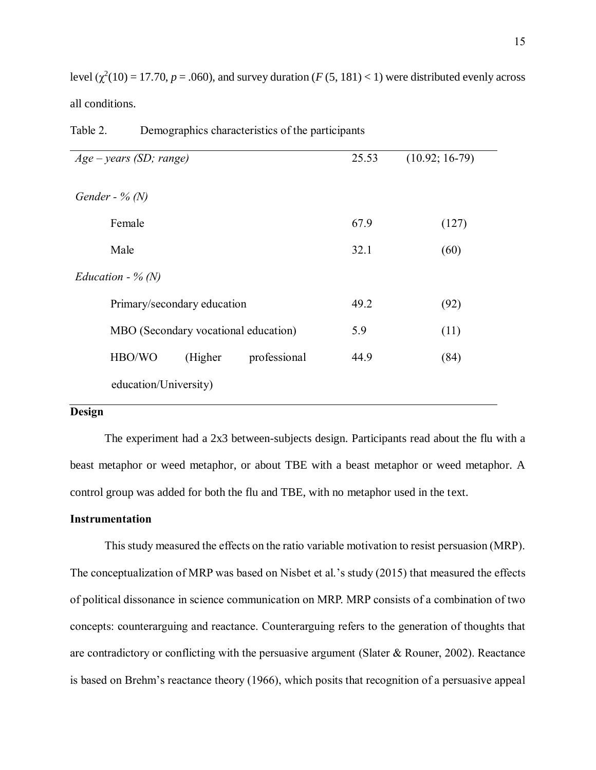level  $(\chi^2(10) = 17.70, p = .060)$ , and survey duration  $(F (5, 181) < 1)$  were distributed evenly across all conditions.

| $Age - years (SD; range)$            | 25.53 | $(10.92; 16-79)$ |
|--------------------------------------|-------|------------------|
| Gender - % $(N)$                     |       |                  |
| Female                               | 67.9  | (127)            |
| Male                                 | 32.1  | (60)             |
| Education - $% (N)$                  |       |                  |
| Primary/secondary education          | 49.2  | (92)             |
| MBO (Secondary vocational education) | 5.9   | (11)             |
| HBO/WO<br>professional<br>(Higher)   | 44.9  | (84)             |
| education/University)                |       |                  |

| Table 2. | Demographics characteristics of the participants |  |  |
|----------|--------------------------------------------------|--|--|
|          |                                                  |  |  |

#### **Design**

The experiment had a 2x3 between-subjects design. Participants read about the flu with a beast metaphor or weed metaphor, or about TBE with a beast metaphor or weed metaphor. A control group was added for both the flu and TBE, with no metaphor used in the text.

#### **Instrumentation**

This study measured the effects on the ratio variable motivation to resist persuasion (MRP). The conceptualization of MRP was based on Nisbet et al.'s study (2015) that measured the effects of political dissonance in science communication on MRP. MRP consists of a combination of two concepts: counterarguing and reactance. Counterarguing refers to the generation of thoughts that are contradictory or conflicting with the persuasive argument (Slater & Rouner, 2002). Reactance is based on Brehm's reactance theory (1966), which posits that recognition of a persuasive appeal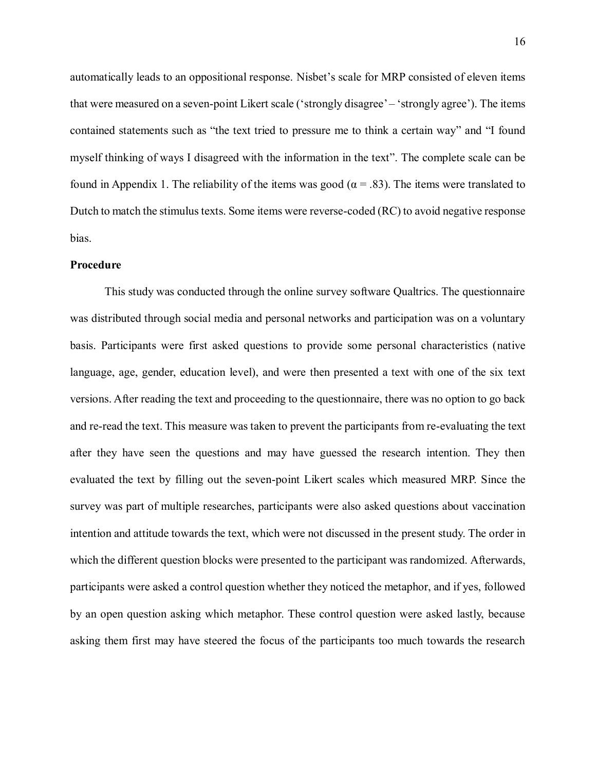automatically leads to an oppositional response. Nisbet's scale for MRP consisted of eleven items that were measured on a seven-point Likert scale ('strongly disagree' – 'strongly agree'). The items contained statements such as "the text tried to pressure me to think a certain way" and "I found myself thinking of ways I disagreed with the information in the text". The complete scale can be found in Appendix 1. The reliability of the items was good ( $\alpha = .83$ ). The items were translated to Dutch to match the stimulus texts. Some items were reverse-coded (RC) to avoid negative response bias.

#### **Procedure**

This study was conducted through the online survey software Qualtrics. The questionnaire was distributed through social media and personal networks and participation was on a voluntary basis. Participants were first asked questions to provide some personal characteristics (native language, age, gender, education level), and were then presented a text with one of the six text versions. After reading the text and proceeding to the questionnaire, there was no option to go back and re-read the text. This measure was taken to prevent the participants from re-evaluating the text after they have seen the questions and may have guessed the research intention. They then evaluated the text by filling out the seven-point Likert scales which measured MRP. Since the survey was part of multiple researches, participants were also asked questions about vaccination intention and attitude towards the text, which were not discussed in the present study. The order in which the different question blocks were presented to the participant was randomized. Afterwards, participants were asked a control question whether they noticed the metaphor, and if yes, followed by an open question asking which metaphor. These control question were asked lastly, because asking them first may have steered the focus of the participants too much towards the research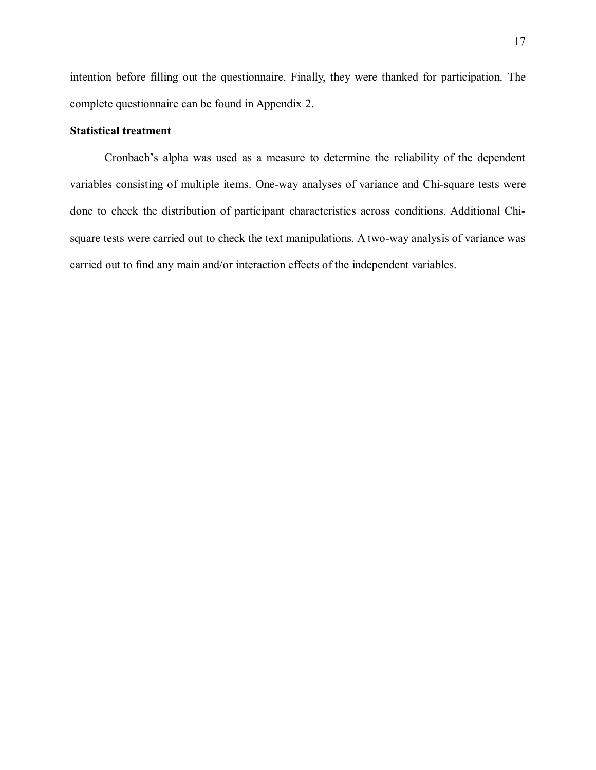intention before filling out the questionnaire. Finally, they were thanked for participation. The complete questionnaire can be found in Appendix 2.

### **Statistical treatment**

Cronbach's alpha was used as a measure to determine the reliability of the dependent variables consisting of multiple items. One-way analyses of variance and Chi-square tests were done to check the distribution of participant characteristics across conditions. Additional Chisquare tests were carried out to check the text manipulations. A two-way analysis of variance was carried out to find any main and/or interaction effects of the independent variables.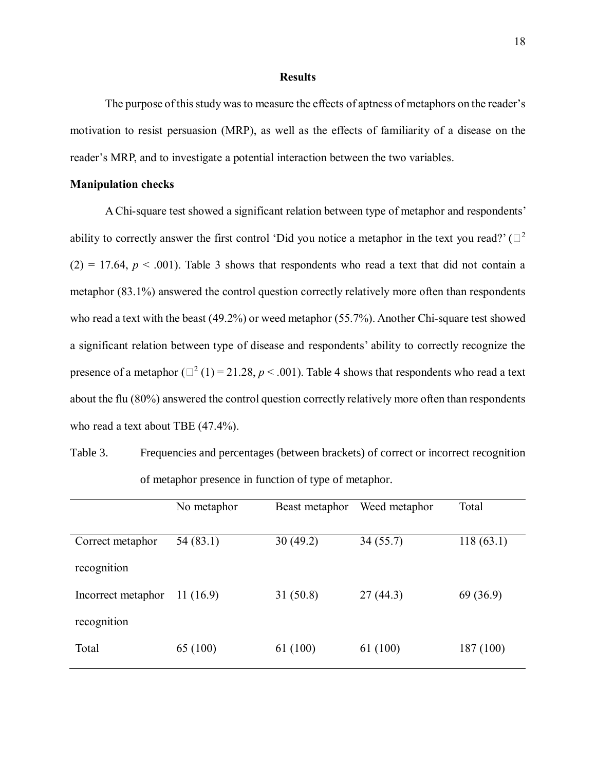#### **Results**

The purpose of this study was to measure the effects of aptness of metaphors on the reader's motivation to resist persuasion (MRP), as well as the effects of familiarity of a disease on the reader's MRP, and to investigate a potential interaction between the two variables.

#### **Manipulation checks**

A Chi-square test showed a significant relation between type of metaphor and respondents' ability to correctly answer the first control 'Did you notice a metaphor in the text you read?' ( $\square^2$ )  $(2) = 17.64$ ,  $p < .001$ ). Table 3 shows that respondents who read a text that did not contain a metaphor (83.1%) answered the control question correctly relatively more often than respondents who read a text with the beast (49.2%) or weed metaphor (55.7%). Another Chi-square test showed a significant relation between type of disease and respondents' ability to correctly recognize the presence of a metaphor ( $\Box^2$  (1) = 21.28, *p* < .001). Table 4 shows that respondents who read a text about the flu (80%) answered the control question correctly relatively more often than respondents who read a text about TBE (47.4%).

Table 3. Frequencies and percentages (between brackets) of correct or incorrect recognition of metaphor presence in function of type of metaphor.

|                    | No metaphor | Beast metaphor | Weed metaphor | Total     |
|--------------------|-------------|----------------|---------------|-----------|
| Correct metaphor   | 54 (83.1)   | 30(49.2)       | 34(55.7)      | 118(63.1) |
| recognition        |             |                |               |           |
| Incorrect metaphor | 11(16.9)    | 31(50.8)       | 27(44.3)      | 69 (36.9) |
| recognition        |             |                |               |           |
| Total              | 65 (100)    | 61 (100)       | 61 (100)      | 187 (100) |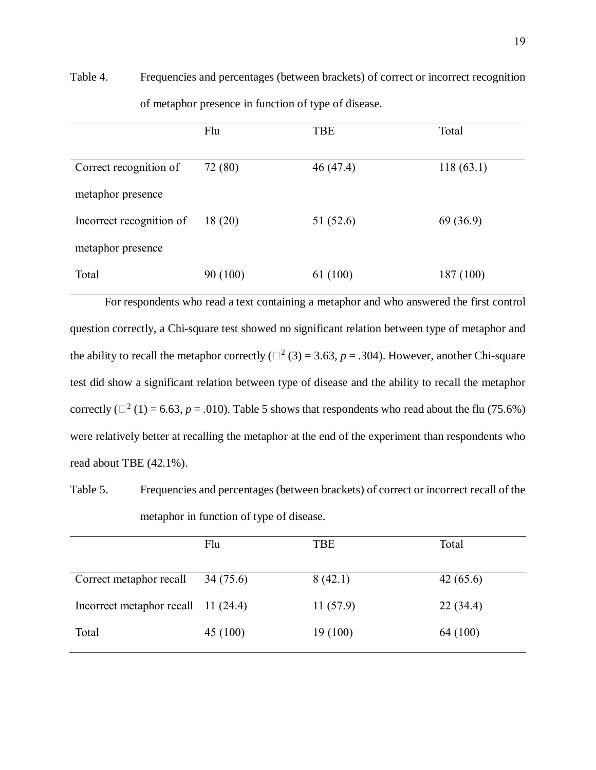Table 4. Frequencies and percentages (between brackets) of correct or incorrect recognition of metaphor presence in function of type of disease.

|                          | Flu      | <b>TBE</b> | Total     |
|--------------------------|----------|------------|-----------|
|                          |          |            |           |
| Correct recognition of   | 72 (80)  | 46(47.4)   | 118(63.1) |
| metaphor presence        |          |            |           |
| Incorrect recognition of | 18(20)   | 51 (52.6)  | 69 (36.9) |
| metaphor presence        |          |            |           |
| Total                    | 90 (100) | 61 (100)   | 187 (100) |

For respondents who read a text containing a metaphor and who answered the first control question correctly, a Chi-square test showed no significant relation between type of metaphor and the ability to recall the metaphor correctly ( $\Box^2$  (3) = 3.63, *p* = .304). However, another Chi-square test did show a significant relation between type of disease and the ability to recall the metaphor correctly ( $\Box^2$  (1) = 6.63, *p* = .010). Table 5 shows that respondents who read about the flu (75.6%) were relatively better at recalling the metaphor at the end of the experiment than respondents who read about TBE (42.1%).

Table 5. Frequencies and percentages (between brackets) of correct or incorrect recall of the metaphor in function of type of disease.

|                                     | Flu      | TBE      | Total    |
|-------------------------------------|----------|----------|----------|
| Correct metaphor recall             | 34(75.6) | 8(42.1)  | 42(65.6) |
| Incorrect metaphor recall 11 (24.4) |          | 11(57.9) | 22(34.4) |
| Total                               | 45(100)  | 19 (100) | 64 (100) |
|                                     |          |          |          |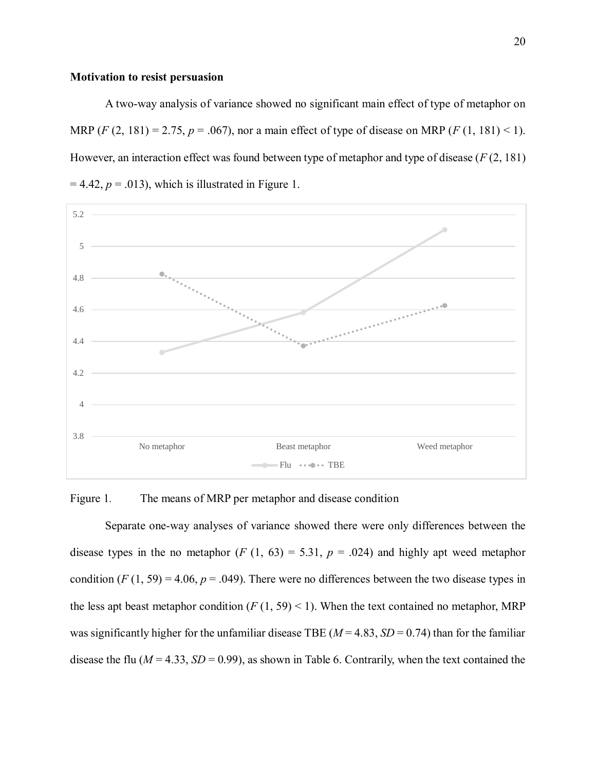#### **Motivation to resist persuasion**

A two-way analysis of variance showed no significant main effect of type of metaphor on MRP  $(F (2, 181) = 2.75, p = .067)$ , nor a main effect of type of disease on MRP  $(F (1, 181) < 1)$ . However, an interaction effect was found between type of metaphor and type of disease (*F* (2, 181)  $= 4.42$ ,  $p = .013$ ), which is illustrated in Figure 1.



Figure 1. The means of MRP per metaphor and disease condition

Separate one-way analyses of variance showed there were only differences between the disease types in the no metaphor  $(F (1, 63) = 5.31, p = .024)$  and highly apt weed metaphor condition  $(F(1, 59) = 4.06, p = .049)$ . There were no differences between the two disease types in the less apt beast metaphor condition  $(F(1, 59) < 1)$ . When the text contained no metaphor, MRP was significantly higher for the unfamiliar disease TBE ( $M = 4.83$ ,  $SD = 0.74$ ) than for the familiar disease the flu ( $M = 4.33$ ,  $SD = 0.99$ ), as shown in Table 6. Contrarily, when the text contained the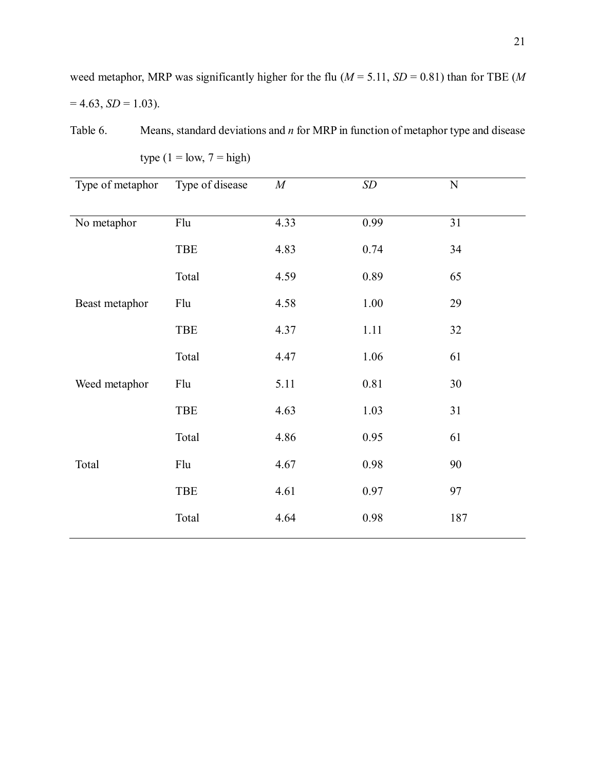weed metaphor, MRP was significantly higher for the flu ( $M = 5.11$ ,  $SD = 0.81$ ) than for TBE ( $M$  $= 4.63, SD = 1.03$ ).

Table 6. Means, standard deviations and *n* for MRP in function of metaphor type and disease

| Type of metaphor | Type of disease | $\cal M$ | SD   | ${\bf N}$ |
|------------------|-----------------|----------|------|-----------|
|                  |                 |          |      |           |
| No metaphor      | Flu             | 4.33     | 0.99 | 31        |
|                  | TBE             | 4.83     | 0.74 | 34        |
|                  | Total           | 4.59     | 0.89 | 65        |
| Beast metaphor   | Flu             | 4.58     | 1.00 | 29        |
|                  | <b>TBE</b>      | 4.37     | 1.11 | 32        |
|                  | Total           | 4.47     | 1.06 | 61        |
| Weed metaphor    | Flu             | 5.11     | 0.81 | 30        |
|                  | TBE             | 4.63     | 1.03 | 31        |
|                  | Total           | 4.86     | 0.95 | 61        |
| Total            | Flu             | 4.67     | 0.98 | 90        |
|                  | <b>TBE</b>      | 4.61     | 0.97 | 97        |
|                  | Total           | 4.64     | 0.98 | 187       |
|                  |                 |          |      |           |

type  $(1 = low, 7 = high)$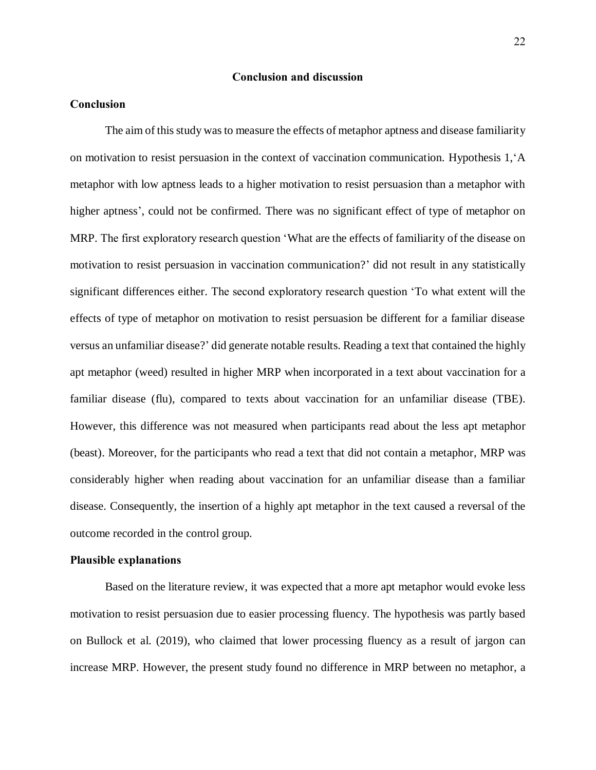#### **Conclusion and discussion**

#### **Conclusion**

The aim of this study was to measure the effects of metaphor aptness and disease familiarity on motivation to resist persuasion in the context of vaccination communication. Hypothesis 1,'A metaphor with low aptness leads to a higher motivation to resist persuasion than a metaphor with higher aptness', could not be confirmed. There was no significant effect of type of metaphor on MRP. The first exploratory research question 'What are the effects of familiarity of the disease on motivation to resist persuasion in vaccination communication?' did not result in any statistically significant differences either. The second exploratory research question 'To what extent will the effects of type of metaphor on motivation to resist persuasion be different for a familiar disease versus an unfamiliar disease?' did generate notable results. Reading a text that contained the highly apt metaphor (weed) resulted in higher MRP when incorporated in a text about vaccination for a familiar disease (flu), compared to texts about vaccination for an unfamiliar disease (TBE). However, this difference was not measured when participants read about the less apt metaphor (beast). Moreover, for the participants who read a text that did not contain a metaphor, MRP was considerably higher when reading about vaccination for an unfamiliar disease than a familiar disease. Consequently, the insertion of a highly apt metaphor in the text caused a reversal of the outcome recorded in the control group.

#### **Plausible explanations**

Based on the literature review, it was expected that a more apt metaphor would evoke less motivation to resist persuasion due to easier processing fluency. The hypothesis was partly based on Bullock et al. (2019), who claimed that lower processing fluency as a result of jargon can increase MRP. However, the present study found no difference in MRP between no metaphor, a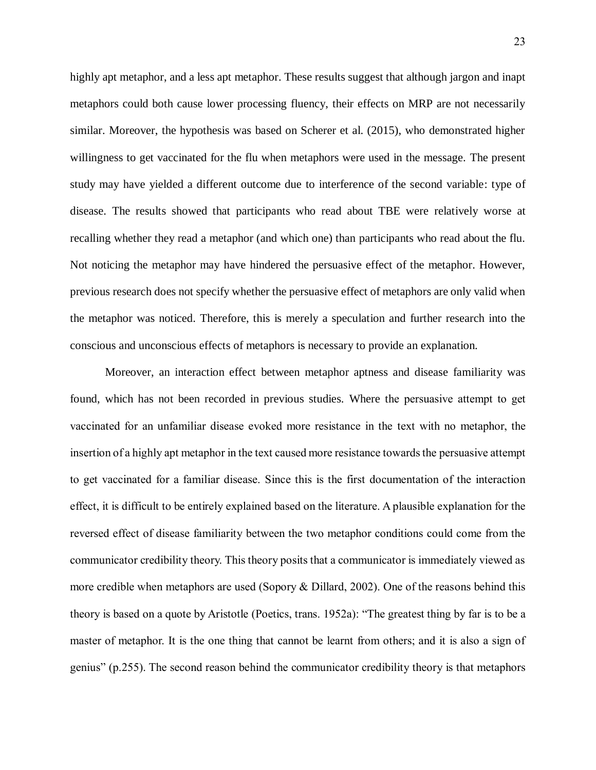highly apt metaphor, and a less apt metaphor. These results suggest that although jargon and inapt metaphors could both cause lower processing fluency, their effects on MRP are not necessarily similar. Moreover, the hypothesis was based on Scherer et al. (2015), who demonstrated higher willingness to get vaccinated for the flu when metaphors were used in the message. The present study may have yielded a different outcome due to interference of the second variable: type of disease. The results showed that participants who read about TBE were relatively worse at recalling whether they read a metaphor (and which one) than participants who read about the flu. Not noticing the metaphor may have hindered the persuasive effect of the metaphor. However, previous research does not specify whether the persuasive effect of metaphors are only valid when the metaphor was noticed. Therefore, this is merely a speculation and further research into the conscious and unconscious effects of metaphors is necessary to provide an explanation.

Moreover, an interaction effect between metaphor aptness and disease familiarity was found, which has not been recorded in previous studies. Where the persuasive attempt to get vaccinated for an unfamiliar disease evoked more resistance in the text with no metaphor, the insertion of a highly apt metaphor in the text caused more resistance towards the persuasive attempt to get vaccinated for a familiar disease. Since this is the first documentation of the interaction effect, it is difficult to be entirely explained based on the literature. A plausible explanation for the reversed effect of disease familiarity between the two metaphor conditions could come from the communicator credibility theory. This theory posits that a communicator is immediately viewed as more credible when metaphors are used (Sopory & Dillard, 2002). One of the reasons behind this theory is based on a quote by Aristotle (Poetics, trans. 1952a): "The greatest thing by far is to be a master of metaphor. It is the one thing that cannot be learnt from others; and it is also a sign of genius" (p.255). The second reason behind the communicator credibility theory is that metaphors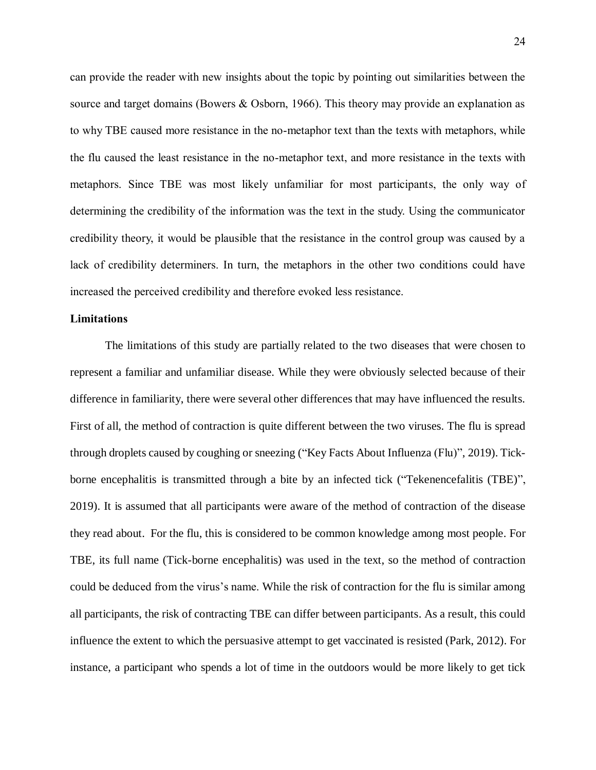can provide the reader with new insights about the topic by pointing out similarities between the source and target domains (Bowers & Osborn, 1966). This theory may provide an explanation as to why TBE caused more resistance in the no-metaphor text than the texts with metaphors, while the flu caused the least resistance in the no-metaphor text, and more resistance in the texts with metaphors. Since TBE was most likely unfamiliar for most participants, the only way of determining the credibility of the information was the text in the study. Using the communicator credibility theory, it would be plausible that the resistance in the control group was caused by a lack of credibility determiners. In turn, the metaphors in the other two conditions could have increased the perceived credibility and therefore evoked less resistance.

#### **Limitations**

The limitations of this study are partially related to the two diseases that were chosen to represent a familiar and unfamiliar disease. While they were obviously selected because of their difference in familiarity, there were several other differences that may have influenced the results. First of all, the method of contraction is quite different between the two viruses. The flu is spread through droplets caused by coughing or sneezing ("Key Facts About Influenza (Flu)", 2019). Tickborne encephalitis is transmitted through a bite by an infected tick ("Tekenencefalitis (TBE)", 2019). It is assumed that all participants were aware of the method of contraction of the disease they read about. For the flu, this is considered to be common knowledge among most people. For TBE, its full name (Tick-borne encephalitis) was used in the text, so the method of contraction could be deduced from the virus's name. While the risk of contraction for the flu is similar among all participants, the risk of contracting TBE can differ between participants. As a result, this could influence the extent to which the persuasive attempt to get vaccinated is resisted (Park, 2012). For instance, a participant who spends a lot of time in the outdoors would be more likely to get tick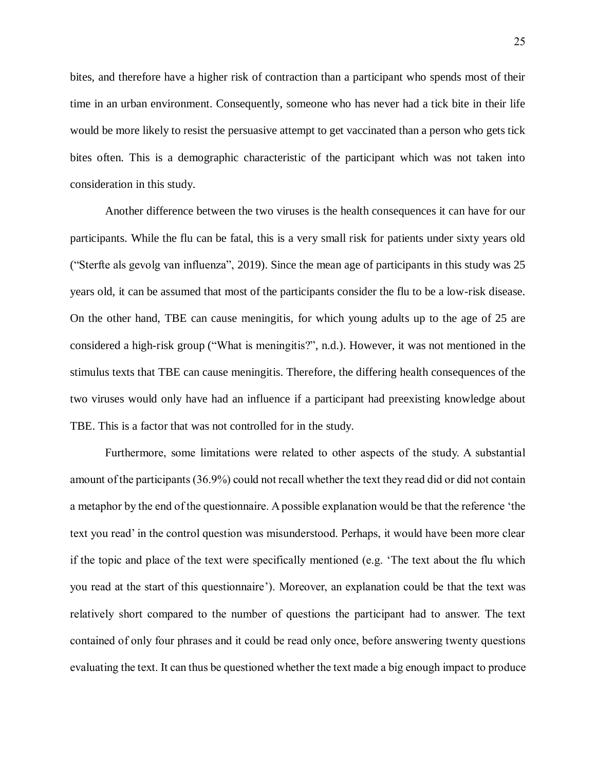bites, and therefore have a higher risk of contraction than a participant who spends most of their time in an urban environment. Consequently, someone who has never had a tick bite in their life would be more likely to resist the persuasive attempt to get vaccinated than a person who gets tick bites often. This is a demographic characteristic of the participant which was not taken into consideration in this study.

Another difference between the two viruses is the health consequences it can have for our participants. While the flu can be fatal, this is a very small risk for patients under sixty years old ("Sterfte als gevolg van influenza", 2019). Since the mean age of participants in this study was 25 years old, it can be assumed that most of the participants consider the flu to be a low-risk disease. On the other hand, TBE can cause meningitis, for which young adults up to the age of 25 are considered a high-risk group ("What is meningitis?", n.d.). However, it was not mentioned in the stimulus texts that TBE can cause meningitis. Therefore, the differing health consequences of the two viruses would only have had an influence if a participant had preexisting knowledge about TBE. This is a factor that was not controlled for in the study.

Furthermore, some limitations were related to other aspects of the study. A substantial amount of the participants (36.9%) could not recall whether the text they read did or did not contain a metaphor by the end of the questionnaire. A possible explanation would be that the reference 'the text you read' in the control question was misunderstood. Perhaps, it would have been more clear if the topic and place of the text were specifically mentioned (e.g. 'The text about the flu which you read at the start of this questionnaire'). Moreover, an explanation could be that the text was relatively short compared to the number of questions the participant had to answer. The text contained of only four phrases and it could be read only once, before answering twenty questions evaluating the text. It can thus be questioned whether the text made a big enough impact to produce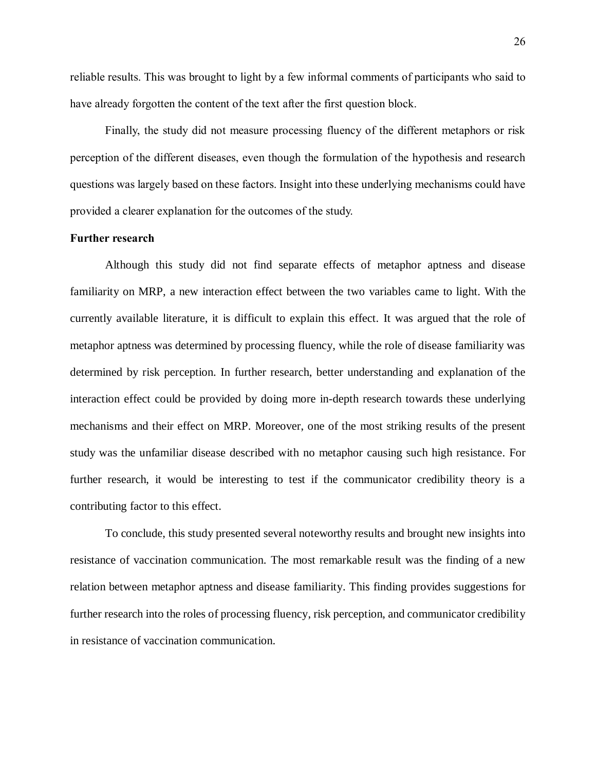reliable results. This was brought to light by a few informal comments of participants who said to have already forgotten the content of the text after the first question block.

Finally, the study did not measure processing fluency of the different metaphors or risk perception of the different diseases, even though the formulation of the hypothesis and research questions was largely based on these factors. Insight into these underlying mechanisms could have provided a clearer explanation for the outcomes of the study.

#### **Further research**

Although this study did not find separate effects of metaphor aptness and disease familiarity on MRP, a new interaction effect between the two variables came to light. With the currently available literature, it is difficult to explain this effect. It was argued that the role of metaphor aptness was determined by processing fluency, while the role of disease familiarity was determined by risk perception. In further research, better understanding and explanation of the interaction effect could be provided by doing more in-depth research towards these underlying mechanisms and their effect on MRP. Moreover, one of the most striking results of the present study was the unfamiliar disease described with no metaphor causing such high resistance. For further research, it would be interesting to test if the communicator credibility theory is a contributing factor to this effect.

To conclude, this study presented several noteworthy results and brought new insights into resistance of vaccination communication. The most remarkable result was the finding of a new relation between metaphor aptness and disease familiarity. This finding provides suggestions for further research into the roles of processing fluency, risk perception, and communicator credibility in resistance of vaccination communication.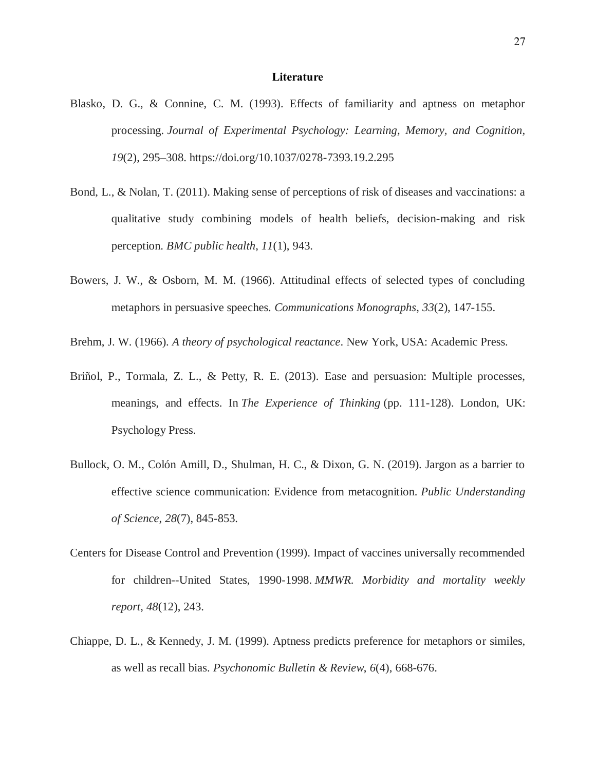#### **Literature**

- Blasko, D. G., & Connine, C. M. (1993). Effects of familiarity and aptness on metaphor processing. *Journal of Experimental Psychology: Learning, Memory, and Cognition, 19*(2), 295–308. https://doi.org/10.1037/0278-7393.19.2.295
- Bond, L., & Nolan, T. (2011). Making sense of perceptions of risk of diseases and vaccinations: a qualitative study combining models of health beliefs, decision-making and risk perception. *BMC public health*, *11*(1), 943.
- Bowers, J. W., & Osborn, M. M. (1966). Attitudinal effects of selected types of concluding metaphors in persuasive speeches. *Communications Monographs*, *33*(2), 147-155.

Brehm, J. W. (1966). *A theory of psychological reactance*. New York, USA: Academic Press.

- Briñol, P., Tormala, Z. L., & Petty, R. E. (2013). Ease and persuasion: Multiple processes, meanings, and effects. In *The Experience of Thinking* (pp. 111-128). London, UK: Psychology Press.
- Bullock, O. M., Colón Amill, D., Shulman, H. C., & Dixon, G. N. (2019). Jargon as a barrier to effective science communication: Evidence from metacognition. *Public Understanding of Science*, *28*(7), 845-853.
- Centers for Disease Control and Prevention (1999). Impact of vaccines universally recommended for children--United States, 1990-1998. *MMWR. Morbidity and mortality weekly report*, *48*(12), 243.
- Chiappe, D. L., & Kennedy, J. M. (1999). Aptness predicts preference for metaphors or similes, as well as recall bias. *Psychonomic Bulletin & Review*, *6*(4), 668-676.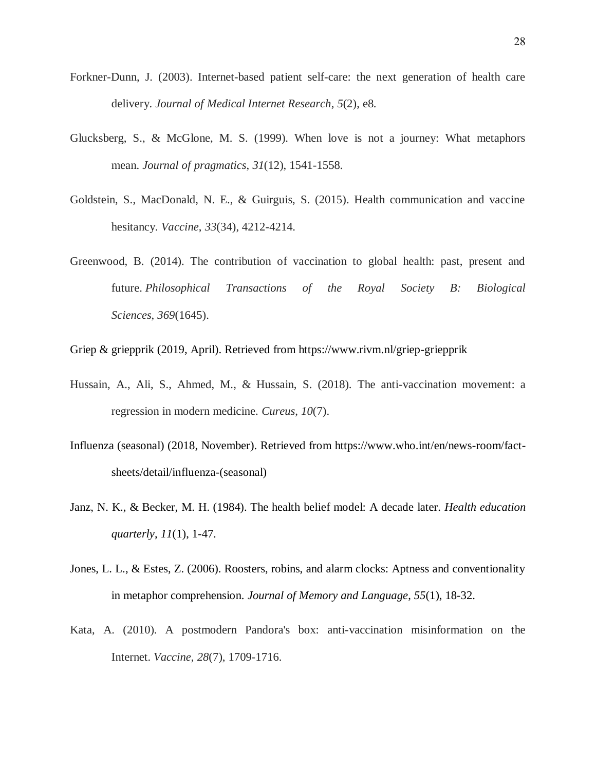- Forkner-Dunn, J. (2003). Internet-based patient self-care: the next generation of health care delivery. *Journal of Medical Internet Research*, *5*(2), e8.
- Glucksberg, S., & McGlone, M. S. (1999). When love is not a journey: What metaphors mean. *Journal of pragmatics*, *31*(12), 1541-1558.
- Goldstein, S., MacDonald, N. E., & Guirguis, S. (2015). Health communication and vaccine hesitancy. *Vaccine*, *33*(34), 4212-4214.
- Greenwood, B. (2014). The contribution of vaccination to global health: past, present and future. *Philosophical Transactions of the Royal Society B: Biological Sciences*, *369*(1645).
- Griep & griepprik (2019, April). Retrieved from https://www.rivm.nl/griep-griepprik
- Hussain, A., Ali, S., Ahmed, M., & Hussain, S. (2018). The anti-vaccination movement: a regression in modern medicine. *Cureus*, *10*(7).
- Influenza (seasonal) (2018, November). Retrieved from https://www.who.int/en/news-room/factsheets/detail/influenza-(seasonal)
- Janz, N. K., & Becker, M. H. (1984). The health belief model: A decade later. *Health education quarterly*, *11*(1), 1-47.
- Jones, L. L., & Estes, Z. (2006). Roosters, robins, and alarm clocks: Aptness and conventionality in metaphor comprehension. *Journal of Memory and Language*, *55*(1), 18-32.
- Kata, A. (2010). A postmodern Pandora's box: anti-vaccination misinformation on the Internet. *Vaccine*, *28*(7), 1709-1716.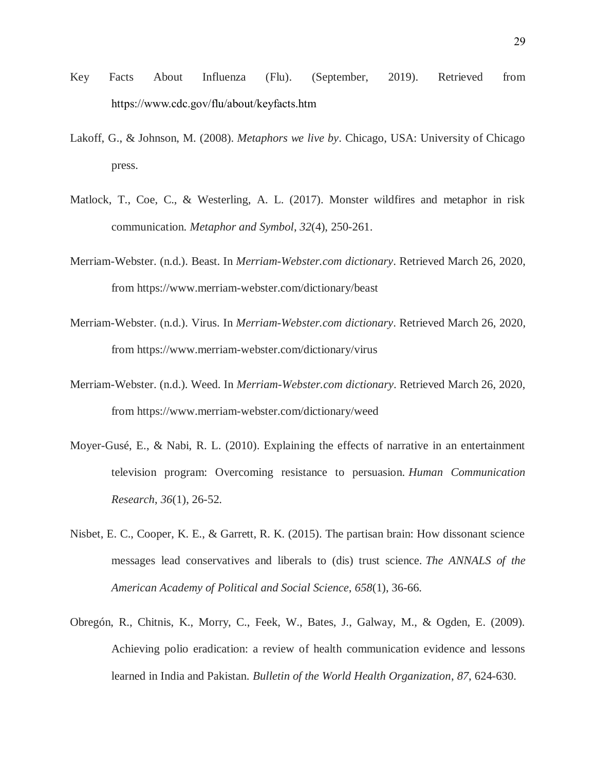- Key Facts About Influenza (Flu). (September, 2019). Retrieved from https://www.cdc.gov/flu/about/keyfacts.htm
- Lakoff, G., & Johnson, M. (2008). *Metaphors we live by*. Chicago, USA: University of Chicago press.
- Matlock, T., Coe, C., & Westerling, A. L. (2017). Monster wildfires and metaphor in risk communication. *Metaphor and Symbol*, *32*(4), 250-261.
- Merriam-Webster. (n.d.). Beast. In *Merriam-Webster.com dictionary*. Retrieved March 26, 2020, from https://www.merriam-webster.com/dictionary/beast
- Merriam-Webster. (n.d.). Virus. In *Merriam-Webster.com dictionary*. Retrieved March 26, 2020, from https://www.merriam-webster.com/dictionary/virus
- Merriam-Webster. (n.d.). Weed. In *Merriam-Webster.com dictionary*. Retrieved March 26, 2020, from https://www.merriam-webster.com/dictionary/weed
- Moyer-Gusé, E., & Nabi, R. L. (2010). Explaining the effects of narrative in an entertainment television program: Overcoming resistance to persuasion. *Human Communication Research*, *36*(1), 26-52.
- Nisbet, E. C., Cooper, K. E., & Garrett, R. K. (2015). The partisan brain: How dissonant science messages lead conservatives and liberals to (dis) trust science. *The ANNALS of the American Academy of Political and Social Science*, *658*(1), 36-66.
- Obregón, R., Chitnis, K., Morry, C., Feek, W., Bates, J., Galway, M., & Ogden, E. (2009). Achieving polio eradication: a review of health communication evidence and lessons learned in India and Pakistan. *Bulletin of the World Health Organization*, *87*, 624-630.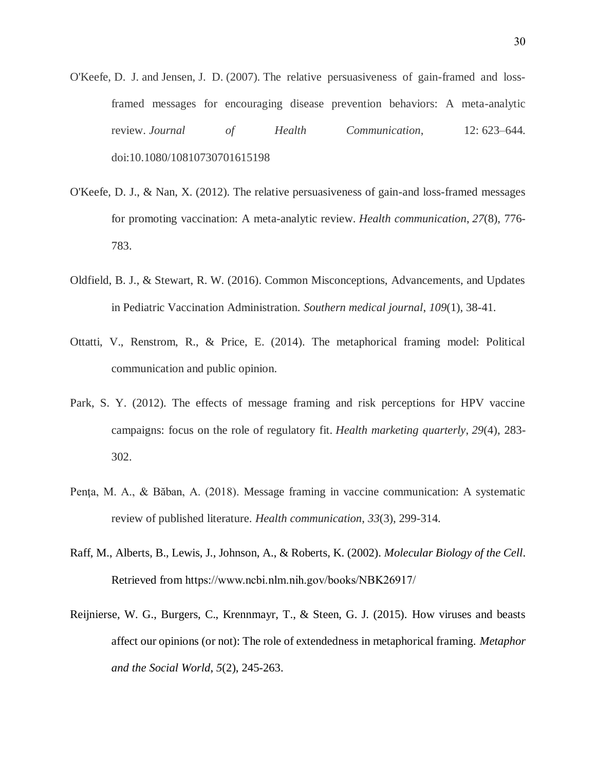- O'Keefe, D. J. and Jensen, J. D. (2007). The relative persuasiveness of gain-framed and lossframed messages for encouraging disease prevention behaviors: A meta-analytic review. *Journal of Health Communication*, 12: 623–644. doi:10.1080/10810730701615198
- O'Keefe, D. J., & Nan, X. (2012). The relative persuasiveness of gain-and loss-framed messages for promoting vaccination: A meta-analytic review. *Health communication*, *27*(8), 776- 783.
- Oldfield, B. J., & Stewart, R. W. (2016). Common Misconceptions, Advancements, and Updates in Pediatric Vaccination Administration. *Southern medical journal*, *109*(1), 38-41.
- Ottatti, V., Renstrom, R., & Price, E. (2014). The metaphorical framing model: Political communication and public opinion.
- Park, S. Y. (2012). The effects of message framing and risk perceptions for HPV vaccine campaigns: focus on the role of regulatory fit. *Health marketing quarterly*, *29*(4), 283- 302.
- Penţa, M. A., & Băban, A. (2018). Message framing in vaccine communication: A systematic review of published literature. *Health communication*, *33*(3), 299-314.
- Raff, M., Alberts, B., Lewis, J., Johnson, A., & Roberts, K. (2002). *Molecular Biology of the Cell*. Retrieved from https://www.ncbi.nlm.nih.gov/books/NBK26917/
- Reijnierse, W. G., Burgers, C., Krennmayr, T., & Steen, G. J. (2015). How viruses and beasts affect our opinions (or not): The role of extendedness in metaphorical framing. *Metaphor and the Social World*, *5*(2), 245-263.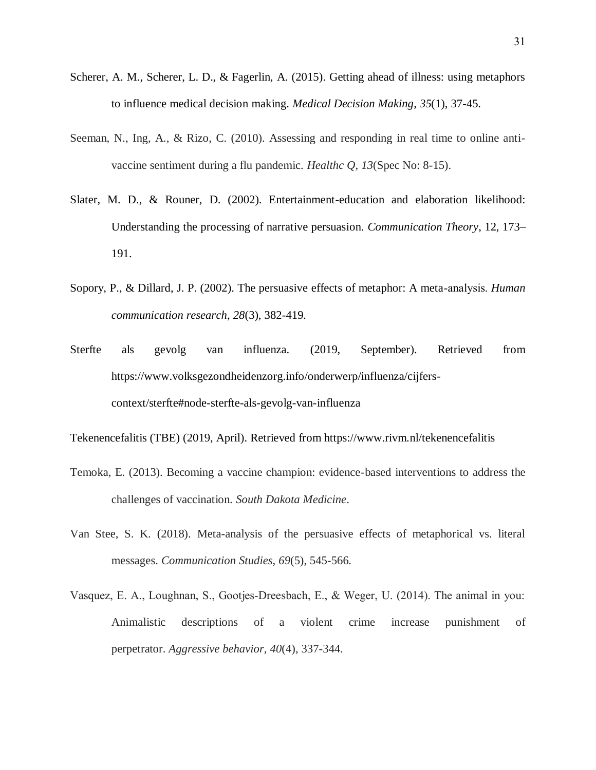- Scherer, A. M., Scherer, L. D., & Fagerlin, A. (2015). Getting ahead of illness: using metaphors to influence medical decision making. *Medical Decision Making*, *35*(1), 37-45.
- Seeman, N., Ing, A., & Rizo, C. (2010). Assessing and responding in real time to online antivaccine sentiment during a flu pandemic. *Healthc Q*, *13*(Spec No: 8-15).
- Slater, M. D., & Rouner, D. (2002). Entertainment-education and elaboration likelihood: Understanding the processing of narrative persuasion. *Communication Theory*, 12, 173– 191.
- Sopory, P., & Dillard, J. P. (2002). The persuasive effects of metaphor: A meta‐analysis. *Human communication research*, *28*(3), 382-419.
- Sterfte als gevolg van influenza. (2019, September). Retrieved from https://www.volksgezondheidenzorg.info/onderwerp/influenza/cijferscontext/sterfte#node-sterfte-als-gevolg-van-influenza

Tekenencefalitis (TBE) (2019, April). Retrieved from https://www.rivm.nl/tekenencefalitis

- Temoka, E. (2013). Becoming a vaccine champion: evidence-based interventions to address the challenges of vaccination. *South Dakota Medicine*.
- Van Stee, S. K. (2018). Meta-analysis of the persuasive effects of metaphorical vs. literal messages. *Communication Studies*, *69*(5), 545-566.
- Vasquez, E. A., Loughnan, S., Gootjes‐Dreesbach, E., & Weger, U. (2014). The animal in you: Animalistic descriptions of a violent crime increase punishment of perpetrator. *Aggressive behavior*, *40*(4), 337-344.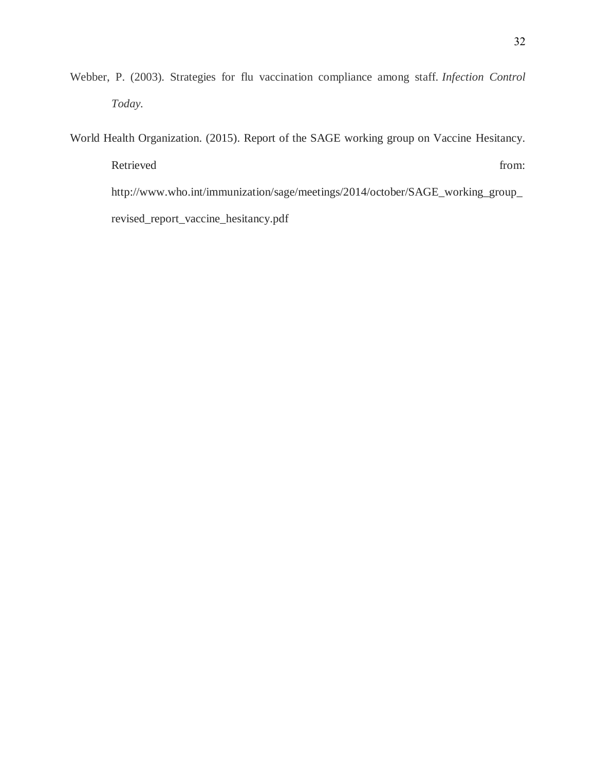Webber, P. (2003). Strategies for flu vaccination compliance among staff. *Infection Control Today.*

World Health Organization. (2015). Report of the SAGE working group on Vaccine Hesitancy. Retrieved from: http://www.who.int/immunization/sage/meetings/2014/october/SAGE\_working\_group\_ revised\_report\_vaccine\_hesitancy.pdf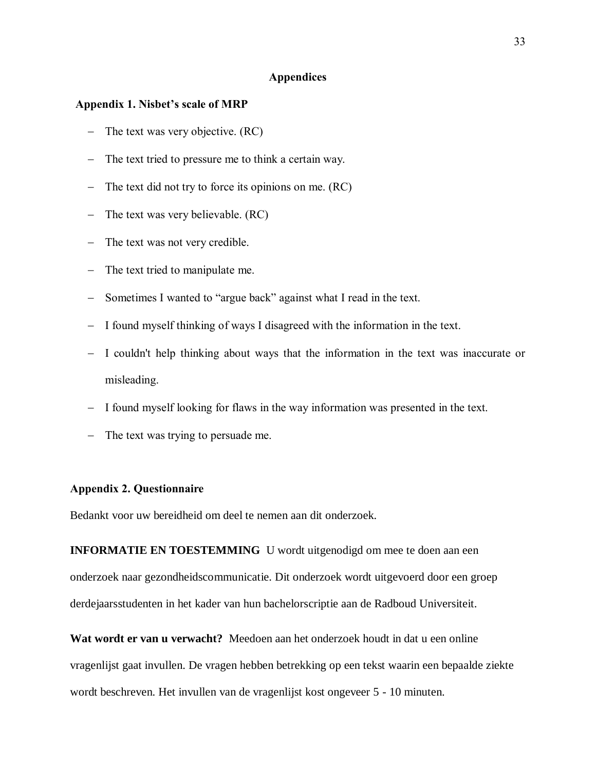#### **Appendices**

#### **Appendix 1. Nisbet's scale of MRP**

- The text was very objective.  $(RC)$
- The text tried to pressure me to think a certain way.
- $-$  The text did not try to force its opinions on me. (RC)
- The text was very believable.  $(RC)$
- The text was not very credible.
- The text tried to manipulate me.
- Sometimes I wanted to "argue back" against what I read in the text.
- I found myself thinking of ways I disagreed with the information in the text.
- I couldn't help thinking about ways that the information in the text was inaccurate or misleading.
- $-$  I found myself looking for flaws in the way information was presented in the text.
- The text was trying to persuade me.

#### **Appendix 2. Questionnaire**

Bedankt voor uw bereidheid om deel te nemen aan dit onderzoek.

**INFORMATIE EN TOESTEMMING** U wordt uitgenodigd om mee te doen aan een onderzoek naar gezondheidscommunicatie. Dit onderzoek wordt uitgevoerd door een groep derdejaarsstudenten in het kader van hun bachelorscriptie aan de Radboud Universiteit.

**Wat wordt er van u verwacht?** Meedoen aan het onderzoek houdt in dat u een online vragenlijst gaat invullen. De vragen hebben betrekking op een tekst waarin een bepaalde ziekte wordt beschreven. Het invullen van de vragenlijst kost ongeveer 5 - 10 minuten.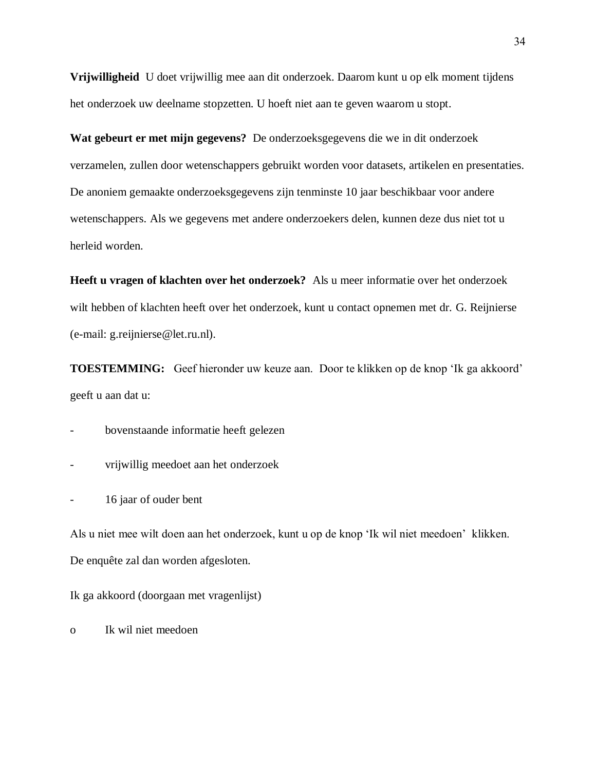**Vrijwilligheid** U doet vrijwillig mee aan dit onderzoek. Daarom kunt u op elk moment tijdens het onderzoek uw deelname stopzetten. U hoeft niet aan te geven waarom u stopt.

**Wat gebeurt er met mijn gegevens?** De onderzoeksgegevens die we in dit onderzoek verzamelen, zullen door wetenschappers gebruikt worden voor datasets, artikelen en presentaties. De anoniem gemaakte onderzoeksgegevens zijn tenminste 10 jaar beschikbaar voor andere wetenschappers. Als we gegevens met andere onderzoekers delen, kunnen deze dus niet tot u herleid worden.

**Heeft u vragen of klachten over het onderzoek?** Als u meer informatie over het onderzoek wilt hebben of klachten heeft over het onderzoek, kunt u contact opnemen met dr. G. Reijnierse (e-mail: g.reijnierse@let.ru.nl).

**TOESTEMMING:** Geef hieronder uw keuze aan. Door te klikken op de knop 'Ik ga akkoord' geeft u aan dat u:

- bovenstaande informatie heeft gelezen

- vrijwillig meedoet aan het onderzoek

- 16 jaar of ouder bent

Als u niet mee wilt doen aan het onderzoek, kunt u op de knop 'Ik wil niet meedoen' klikken. De enquête zal dan worden afgesloten.

Ik ga akkoord (doorgaan met vragenlijst)

o Ik wil niet meedoen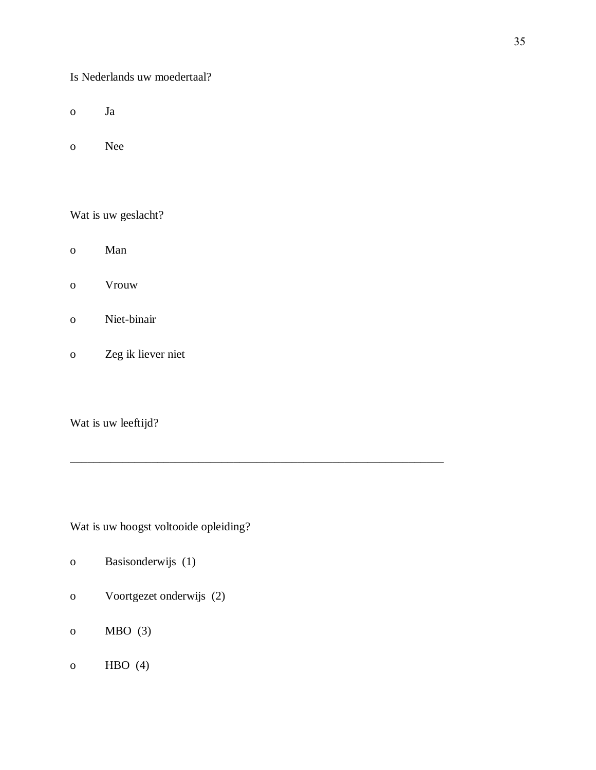Is Nederlands uw moedertaal?

- o Ja
- o Nee

Wat is uw geslacht?

- o Man
- o Vrouw
- o Niet-binair
- o Zeg ik liever niet

Wat is uw leeftijd?

Wat is uw hoogst voltooide opleiding?

\_\_\_\_\_\_\_\_\_\_\_\_\_\_\_\_\_\_\_\_\_\_\_\_\_\_\_\_\_\_\_\_\_\_\_\_\_\_\_\_\_\_\_\_\_\_\_\_\_\_\_\_\_\_\_\_\_\_\_\_\_\_\_\_

- o Basisonderwijs (1)
- o Voortgezet onderwijs (2)
- o MBO (3)
- o HBO (4)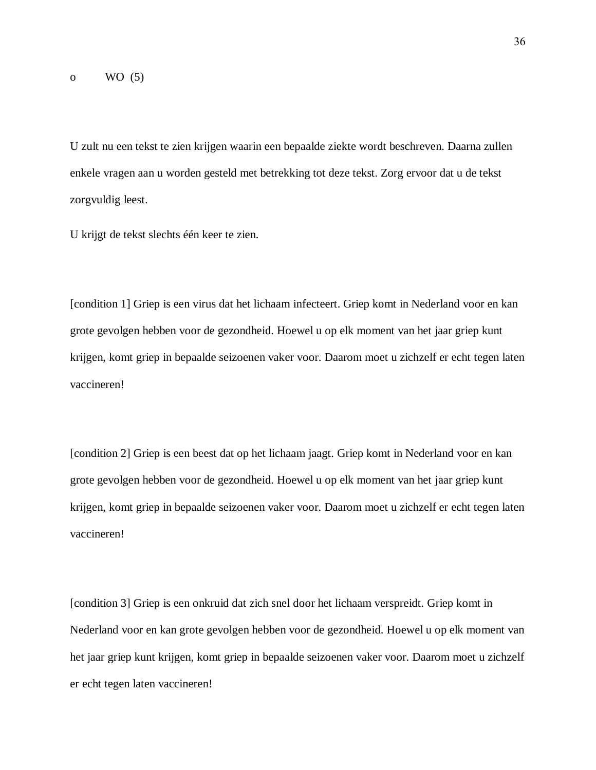U zult nu een tekst te zien krijgen waarin een bepaalde ziekte wordt beschreven. Daarna zullen enkele vragen aan u worden gesteld met betrekking tot deze tekst. Zorg ervoor dat u de tekst zorgvuldig leest.

U krijgt de tekst slechts één keer te zien.

[condition 1] Griep is een virus dat het lichaam infecteert. Griep komt in Nederland voor en kan grote gevolgen hebben voor de gezondheid. Hoewel u op elk moment van het jaar griep kunt krijgen, komt griep in bepaalde seizoenen vaker voor. Daarom moet u zichzelf er echt tegen laten vaccineren!

[condition 2] Griep is een beest dat op het lichaam jaagt. Griep komt in Nederland voor en kan grote gevolgen hebben voor de gezondheid. Hoewel u op elk moment van het jaar griep kunt krijgen, komt griep in bepaalde seizoenen vaker voor. Daarom moet u zichzelf er echt tegen laten vaccineren!

[condition 3] Griep is een onkruid dat zich snel door het lichaam verspreidt. Griep komt in Nederland voor en kan grote gevolgen hebben voor de gezondheid. Hoewel u op elk moment van het jaar griep kunt krijgen, komt griep in bepaalde seizoenen vaker voor. Daarom moet u zichzelf er echt tegen laten vaccineren!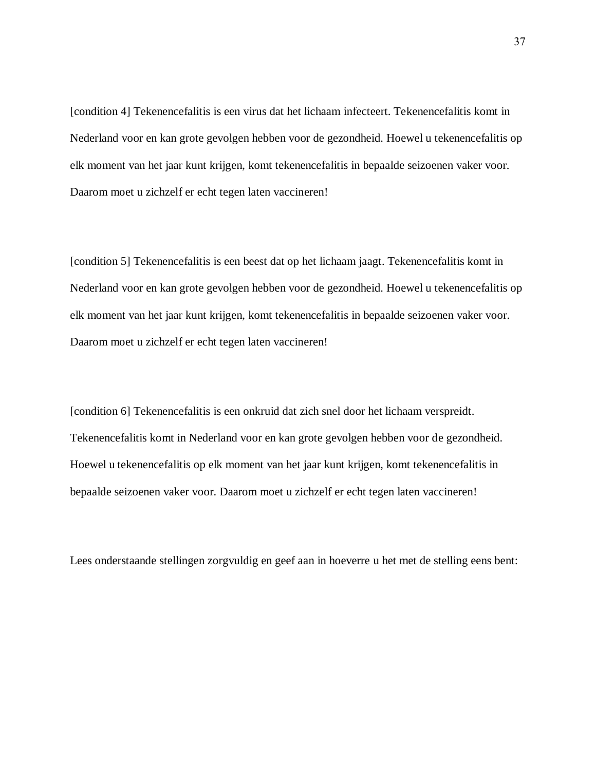[condition 4] Tekenencefalitis is een virus dat het lichaam infecteert. Tekenencefalitis komt in Nederland voor en kan grote gevolgen hebben voor de gezondheid. Hoewel u tekenencefalitis op elk moment van het jaar kunt krijgen, komt tekenencefalitis in bepaalde seizoenen vaker voor. Daarom moet u zichzelf er echt tegen laten vaccineren!

[condition 5] Tekenencefalitis is een beest dat op het lichaam jaagt. Tekenencefalitis komt in Nederland voor en kan grote gevolgen hebben voor de gezondheid. Hoewel u tekenencefalitis op elk moment van het jaar kunt krijgen, komt tekenencefalitis in bepaalde seizoenen vaker voor. Daarom moet u zichzelf er echt tegen laten vaccineren!

[condition 6] Tekenencefalitis is een onkruid dat zich snel door het lichaam verspreidt. Tekenencefalitis komt in Nederland voor en kan grote gevolgen hebben voor de gezondheid. Hoewel u tekenencefalitis op elk moment van het jaar kunt krijgen, komt tekenencefalitis in bepaalde seizoenen vaker voor. Daarom moet u zichzelf er echt tegen laten vaccineren!

Lees onderstaande stellingen zorgvuldig en geef aan in hoeverre u het met de stelling eens bent: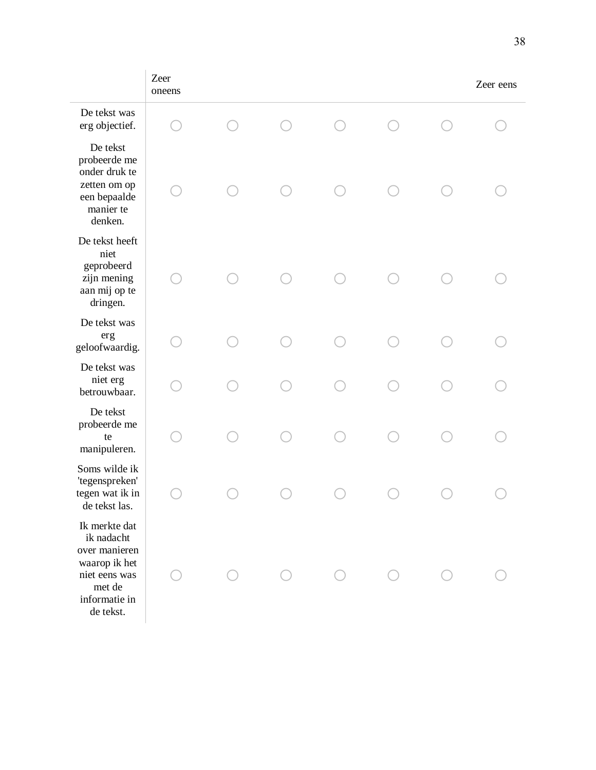|                                                                                                                        | Zeer<br>oneens |  |  | Zeer eens |
|------------------------------------------------------------------------------------------------------------------------|----------------|--|--|-----------|
| De tekst was<br>erg objectief.                                                                                         |                |  |  |           |
| De tekst<br>probeerde me<br>onder druk te<br>zetten om op<br>een bepaalde<br>manier te<br>denken.                      |                |  |  |           |
| De tekst heeft<br>niet<br>geprobeerd<br>zijn mening<br>aan mij op te<br>dringen.                                       |                |  |  |           |
| De tekst was<br>erg<br>geloofwaardig.                                                                                  |                |  |  |           |
| De tekst was<br>niet erg<br>betrouwbaar.                                                                               |                |  |  |           |
| De tekst<br>probeerde me<br>te<br>manipuleren.                                                                         |                |  |  |           |
| Soms wilde ik<br>'tegenspreken'<br>tegen wat ik in<br>de tekst las.                                                    |                |  |  |           |
| Ik merkte dat<br>ik nadacht<br>over manieren<br>waarop ik het<br>niet eens was<br>met de<br>informatie in<br>de tekst. |                |  |  |           |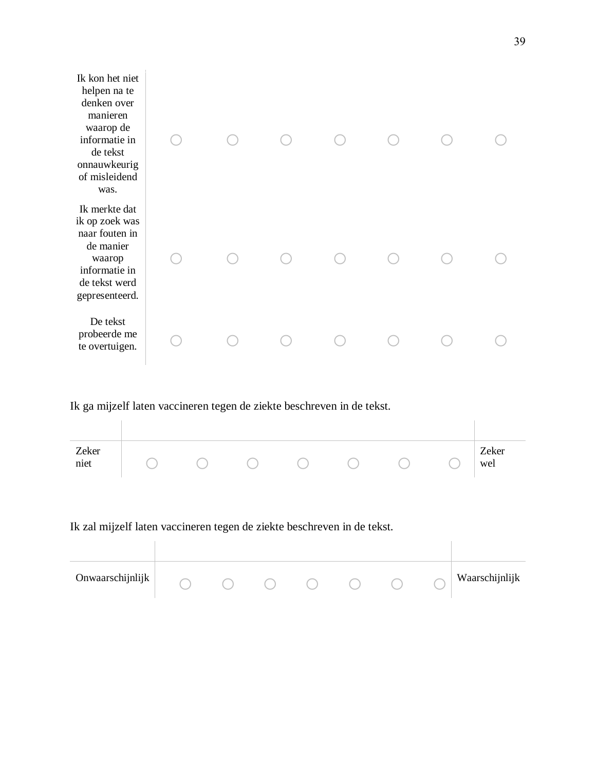| Ik kon het niet<br>helpen na te<br>denken over<br>manieren<br>waarop de<br>informatie in<br>de tekst<br>onnauwkeurig<br>of misleidend<br>was. |  |  |  |  |
|-----------------------------------------------------------------------------------------------------------------------------------------------|--|--|--|--|
| Ik merkte dat<br>ik op zoek was<br>naar fouten in<br>de manier<br>waarop<br>informatie in<br>de tekst werd<br>gepresenteerd.                  |  |  |  |  |
| De tekst<br>probeerde me<br>te overtuigen.                                                                                                    |  |  |  |  |

Ik ga mijzelf laten vaccineren tegen de ziekte beschreven in de tekst.

| Zeker<br>niet |  |  |  | Zeker<br>wel |
|---------------|--|--|--|--------------|

Ik zal mijzelf laten vaccineren tegen de ziekte beschreven in de tekst.

| Onwaarschijnlijk |  |  |  | Waarschijnlijk |
|------------------|--|--|--|----------------|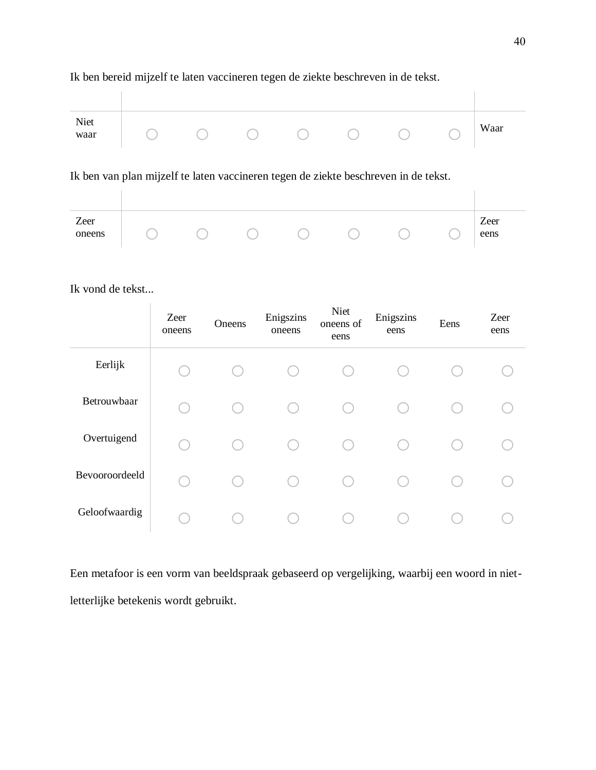## Ik ben bereid mijzelf te laten vaccineren tegen de ziekte beschreven in de tekst.

| Niet<br>waar |  |  |  | Waar |
|--------------|--|--|--|------|

# Ik ben van plan mijzelf te laten vaccineren tegen de ziekte beschreven in de tekst.

| Zeer<br>oneens |  |  |  | Zeer<br>eens |
|----------------|--|--|--|--------------|

Ik vond de tekst...

|                | Zeer<br>oneens | Oneens | Enigszins<br>oneens | Niet<br>oneens of<br>eens | Enigszins<br>eens | Eens | Zeer<br>eens |
|----------------|----------------|--------|---------------------|---------------------------|-------------------|------|--------------|
| Eerlijk        |                |        |                     |                           |                   |      |              |
| Betrouwbaar    | L.             |        |                     |                           |                   |      |              |
| Overtuigend    | L.             |        |                     |                           |                   |      |              |
| Bevooroordeeld | С.             |        |                     |                           |                   |      |              |
| Geloofwaardig  |                |        |                     |                           |                   |      |              |

Een metafoor is een vorm van beeldspraak gebaseerd op vergelijking, waarbij een woord in nietletterlijke betekenis wordt gebruikt.